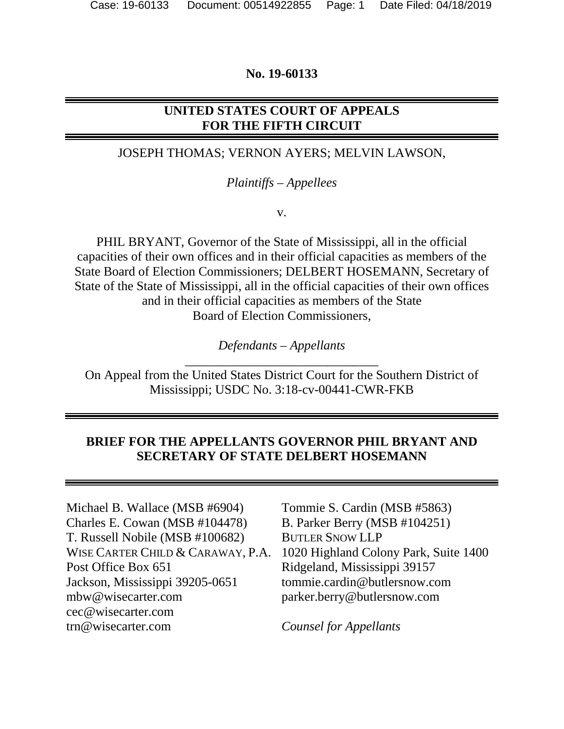### **No. 19-60133**

# **UNITED STATES COURT OF APPEALS FOR THE FIFTH CIRCUIT**

## JOSEPH THOMAS; VERNON AYERS; MELVIN LAWSON,

#### *Plaintiffs – Appellees*

v.

PHIL BRYANT, Governor of the State of Mississippi, all in the official capacities of their own offices and in their official capacities as members of the State Board of Election Commissioners; DELBERT HOSEMANN, Secretary of State of the State of Mississippi, all in the official capacities of their own offices and in their official capacities as members of the State Board of Election Commissioners,

> *Defendants – Appellants*  \_\_\_\_\_\_\_\_\_\_\_\_\_\_\_\_\_\_\_\_\_\_\_\_\_\_\_\_\_\_

On Appeal from the United States District Court for the Southern District of Mississippi; USDC No. 3:18-cv-00441-CWR-FKB

### **BRIEF FOR THE APPELLANTS GOVERNOR PHIL BRYANT AND SECRETARY OF STATE DELBERT HOSEMANN**

Michael B. Wallace (MSB #6904) Charles E. Cowan (MSB #104478) T. Russell Nobile (MSB #100682) WISE CARTER CHILD & CARAWAY, P.A. Post Office Box 651 Jackson, Mississippi 39205-0651 mbw@wisecarter.com cec@wisecarter.com trn@wisecarter.com

Tommie S. Cardin (MSB #5863) B. Parker Berry (MSB #104251) BUTLER SNOW LLP 1020 Highland Colony Park, Suite 1400 Ridgeland, Mississippi 39157 tommie.cardin@butlersnow.com parker.berry@butlersnow.com

*Counsel for Appellants*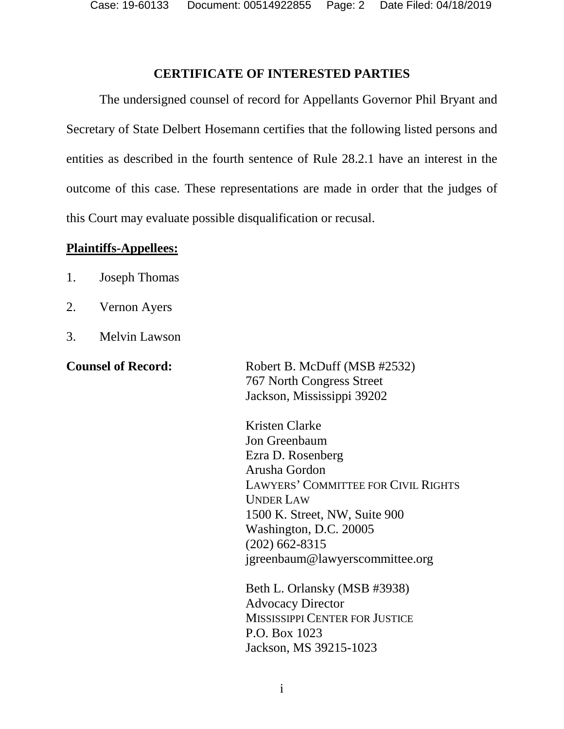Case: 19-60133 Document: 00514922855 Page: 2 Date Filed: 04/18/2019

#### <span id="page-1-0"></span>**CERTIFICATE OF INTERESTED PARTIES**

The undersigned counsel of record for Appellants Governor Phil Bryant and Secretary of State Delbert Hosemann certifies that the following listed persons and entities as described in the fourth sentence of Rule 28.2.1 have an interest in the outcome of this case. These representations are made in order that the judges of this Court may evaluate possible disqualification or recusal.

#### **Plaintiffs-Appellees:**

- 1. Joseph Thomas
- 2. Vernon Ayers
- 3. Melvin Lawson

**Counsel of Record:** Robert B. McDuff (MSB #2532) 767 North Congress Street Jackson, Mississippi 39202

> Kristen Clarke Jon Greenbaum Ezra D. Rosenberg Arusha Gordon LAWYERS' COMMITTEE FOR CIVIL RIGHTS UNDER LAW 1500 K. Street, NW, Suite 900 Washington, D.C. 20005 (202) 662-8315 jgreenbaum@lawyerscommittee.org

Beth L. Orlansky (MSB #3938) Advocacy Director MISSISSIPPI CENTER FOR JUSTICE P.O. Box 1023 Jackson, MS 39215-1023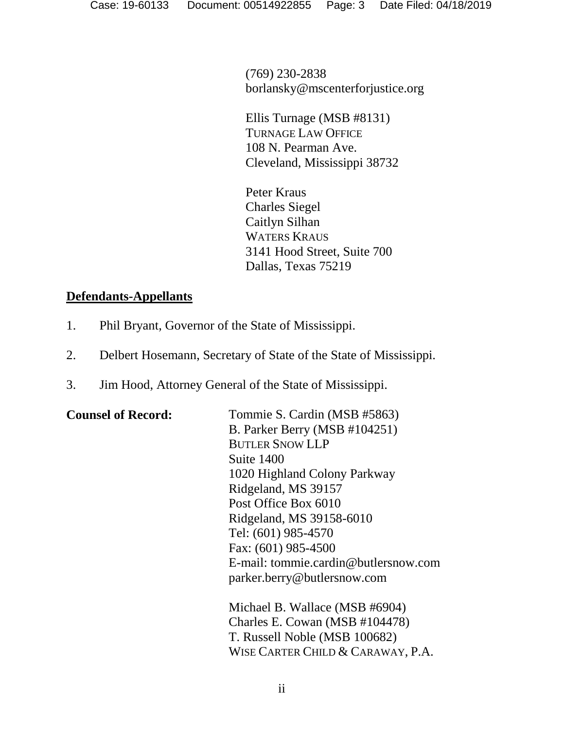(769) 230-2838 borlansky@mscenterforjustice.org

Ellis Turnage (MSB #8131) TURNAGE LAW OFFICE 108 N. Pearman Ave. Cleveland, Mississippi 38732

Peter Kraus Charles Siegel Caitlyn Silhan WATERS KRAUS 3141 Hood Street, Suite 700 Dallas, Texas 75219

# **Defendants-Appellants**

- 1. Phil Bryant, Governor of the State of Mississippi.
- 2. Delbert Hosemann, Secretary of State of the State of Mississippi.
- 3. Jim Hood, Attorney General of the State of Mississippi.

| <b>Counsel of Record:</b> | Tommie S. Cardin (MSB #5863)         |
|---------------------------|--------------------------------------|
|                           | B. Parker Berry (MSB #104251)        |
|                           | <b>BUTLER SNOW LLP</b>               |
|                           | Suite 1400                           |
|                           | 1020 Highland Colony Parkway         |
|                           | Ridgeland, MS 39157                  |
|                           | Post Office Box 6010                 |
|                           | Ridgeland, MS 39158-6010             |
|                           | Tel: (601) 985-4570                  |
|                           | Fax: (601) 985-4500                  |
|                           | E-mail: tommie.cardin@butlersnow.com |
|                           | parker.berry@butlersnow.com          |
|                           | Michael B. Wallace (MSB #6904)       |
|                           | Charles E. Cowan (MSB #104478)       |
|                           | T. Russell Noble (MSB 100682)        |

WISE CARTER CHILD & CARAWAY, P.A.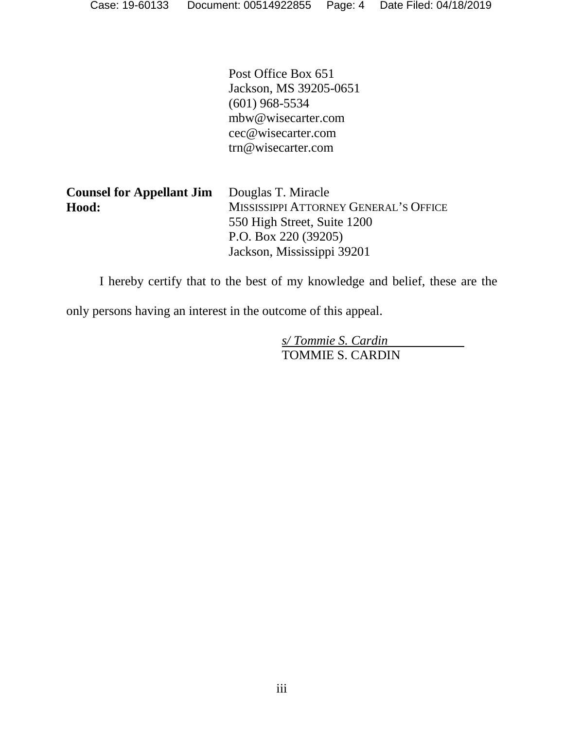Post Office Box 651 Jackson, MS 39205-0651 (601) 968-5534 mbw@wisecarter.com cec@wisecarter.com trn@wisecarter.com

| <b>Counsel for Appellant Jim</b> | Douglas T. Miracle                    |
|----------------------------------|---------------------------------------|
| Hood:                            | MISSISSIPPI ATTORNEY GENERAL'S OFFICE |
|                                  | 550 High Street, Suite 1200           |
|                                  | P.O. Box 220 $(39205)$                |
|                                  | Jackson, Mississippi 39201            |

I hereby certify that to the best of my knowledge and belief, these are the

only persons having an interest in the outcome of this appeal.

*s/ Tommie S. Cardin*  TOMMIE S. CARDIN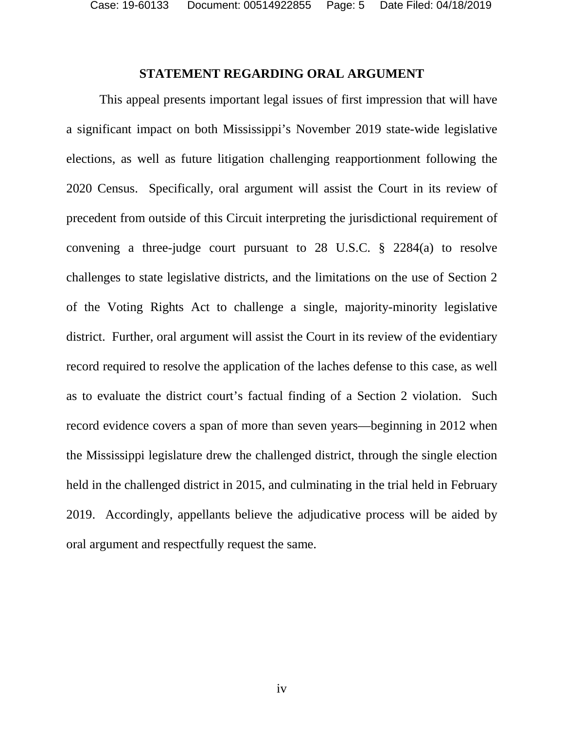Case: 19-60133 Document: 00514922855 Page: 5 Date Filed: 04/18/2019

#### <span id="page-4-0"></span>**STATEMENT REGARDING ORAL ARGUMENT**

This appeal presents important legal issues of first impression that will have a significant impact on both Mississippi's November 2019 state-wide legislative elections, as well as future litigation challenging reapportionment following the 2020 Census. Specifically, oral argument will assist the Court in its review of precedent from outside of this Circuit interpreting the jurisdictional requirement of convening a three-judge court pursuant to 28 U.S.C. § 2284(a) to resolve challenges to state legislative districts, and the limitations on the use of Section 2 of the Voting Rights Act to challenge a single, majority-minority legislative district. Further, oral argument will assist the Court in its review of the evidentiary record required to resolve the application of the laches defense to this case, as well as to evaluate the district court's factual finding of a Section 2 violation. Such record evidence covers a span of more than seven years—beginning in 2012 when the Mississippi legislature drew the challenged district, through the single election held in the challenged district in 2015, and culminating in the trial held in February 2019. Accordingly, appellants believe the adjudicative process will be aided by oral argument and respectfully request the same.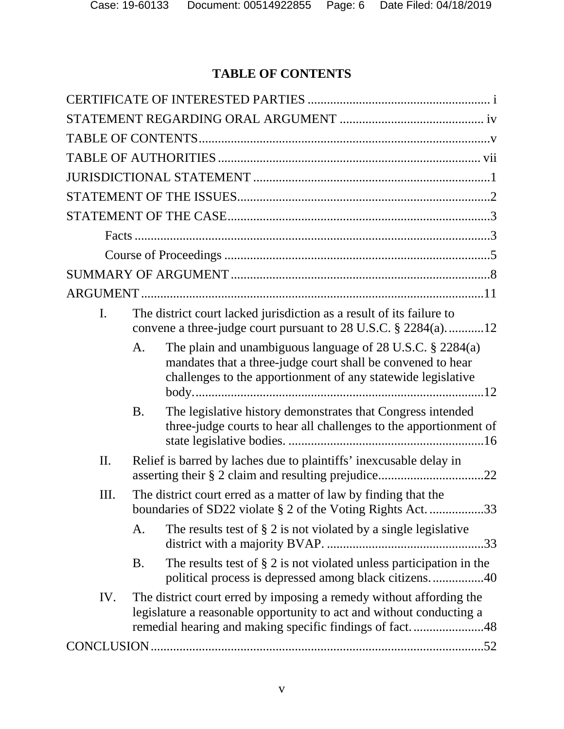# <span id="page-5-0"></span>**TABLE OF CONTENTS**

| I.  | The district court lacked jurisdiction as a result of its failure to<br>convene a three-judge court pursuant to 28 U.S.C. § 2284(a)12                                                                  |
|-----|--------------------------------------------------------------------------------------------------------------------------------------------------------------------------------------------------------|
|     | The plain and unambiguous language of $28$ U.S.C. $\S$ $2284(a)$<br>A.<br>mandates that a three-judge court shall be convened to hear<br>challenges to the apportionment of any statewide legislative  |
|     | The legislative history demonstrates that Congress intended<br><b>B.</b><br>three-judge courts to hear all challenges to the apportionment of                                                          |
| II. | Relief is barred by laches due to plaintiffs' inexcusable delay in                                                                                                                                     |
| Ш.  | The district court erred as a matter of law by finding that the<br>boundaries of SD22 violate § 2 of the Voting Rights Act. 33                                                                         |
|     | The results test of $\S 2$ is not violated by a single legislative<br>A.                                                                                                                               |
|     | The results test of $\S 2$ is not violated unless participation in the<br><b>B.</b><br>political process is depressed among black citizens40                                                           |
| IV. | The district court erred by imposing a remedy without affording the<br>legislature a reasonable opportunity to act and without conducting a<br>remedial hearing and making specific findings of fact48 |
|     |                                                                                                                                                                                                        |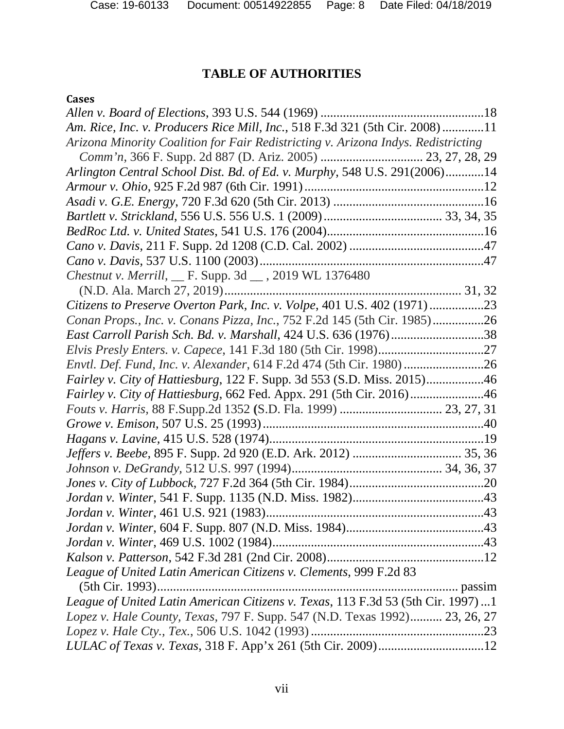# <span id="page-7-0"></span>**TABLE OF AUTHORITIES**

# **Cases**

| Am. Rice, Inc. v. Producers Rice Mill, Inc., 518 F.3d 321 (5th Cir. 2008)11       |  |
|-----------------------------------------------------------------------------------|--|
| Arizona Minority Coalition for Fair Redistricting v. Arizona Indys. Redistricting |  |
|                                                                                   |  |
| Arlington Central School Dist. Bd. of Ed. v. Murphy, 548 U.S. 291(2006)14         |  |
|                                                                                   |  |
|                                                                                   |  |
|                                                                                   |  |
|                                                                                   |  |
|                                                                                   |  |
|                                                                                   |  |
| Chestnut v. Merrill, __ F. Supp. 3d __ , 2019 WL 1376480                          |  |
|                                                                                   |  |
| Citizens to Preserve Overton Park, Inc. v. Volpe, 401 U.S. 402 (1971)23           |  |
| Conan Props., Inc. v. Conans Pizza, Inc., 752 F.2d 145 (5th Cir. 1985)26          |  |
|                                                                                   |  |
|                                                                                   |  |
| Envtl. Def. Fund, Inc. v. Alexander, 614 F.2d 474 (5th Cir. 1980)                 |  |
| Fairley v. City of Hattiesburg, 122 F. Supp. 3d 553 (S.D. Miss. 2015)46           |  |
| Fairley v. City of Hattiesburg, 662 Fed. Appx. 291 (5th Cir. 2016)46              |  |
|                                                                                   |  |
|                                                                                   |  |
|                                                                                   |  |
|                                                                                   |  |
|                                                                                   |  |
|                                                                                   |  |
|                                                                                   |  |
|                                                                                   |  |
|                                                                                   |  |
|                                                                                   |  |
|                                                                                   |  |
| League of United Latin American Citizens v. Clements, 999 F.2d 83                 |  |
|                                                                                   |  |
| League of United Latin American Citizens v. Texas, 113 F.3d 53 (5th Cir. 1997) 1  |  |
| Lopez v. Hale County, Texas, 797 F. Supp. 547 (N.D. Texas 1992) 23, 26, 27        |  |
|                                                                                   |  |
|                                                                                   |  |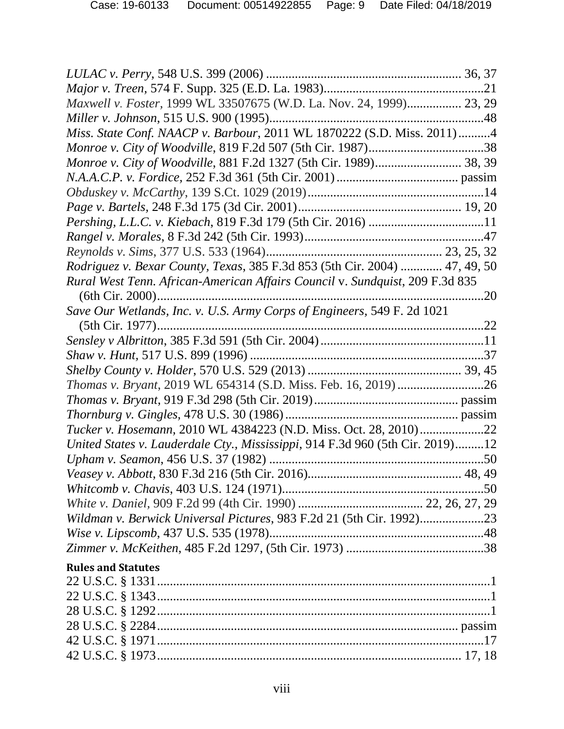| Maxwell v. Foster, 1999 WL 33507675 (W.D. La. Nov. 24, 1999) 23, 29           |     |
|-------------------------------------------------------------------------------|-----|
|                                                                               |     |
| Miss. State Conf. NAACP v. Barbour, 2011 WL 1870222 (S.D. Miss. 2011)4        |     |
|                                                                               |     |
| Monroe v. City of Woodville, 881 F.2d 1327 (5th Cir. 1989) 38, 39             |     |
|                                                                               |     |
|                                                                               |     |
|                                                                               |     |
|                                                                               |     |
|                                                                               |     |
|                                                                               |     |
| Rodriguez v. Bexar County, Texas, 385 F.3d 853 (5th Cir. 2004)  47, 49, 50    |     |
| Rural West Tenn. African-American Affairs Council v. Sundquist, 209 F.3d 835  |     |
|                                                                               | .20 |
| Save Our Wetlands, Inc. v. U.S. Army Corps of Engineers, 549 F. 2d 1021       |     |
|                                                                               |     |
|                                                                               |     |
|                                                                               |     |
|                                                                               |     |
|                                                                               |     |
|                                                                               |     |
|                                                                               |     |
| Tucker v. Hosemann, 2010 WL 4384223 (N.D. Miss. Oct. 28, 2010)22              |     |
| United States v. Lauderdale Cty., Mississippi, 914 F.3d 960 (5th Cir. 2019)12 |     |
|                                                                               |     |
|                                                                               |     |
|                                                                               |     |
|                                                                               |     |
|                                                                               |     |
|                                                                               |     |
|                                                                               |     |
| <b>Rules and Statutes</b>                                                     |     |
|                                                                               |     |
|                                                                               |     |
|                                                                               |     |
| $28 \text{ H S C}$ $8 \text{ } 2284$                                          |     |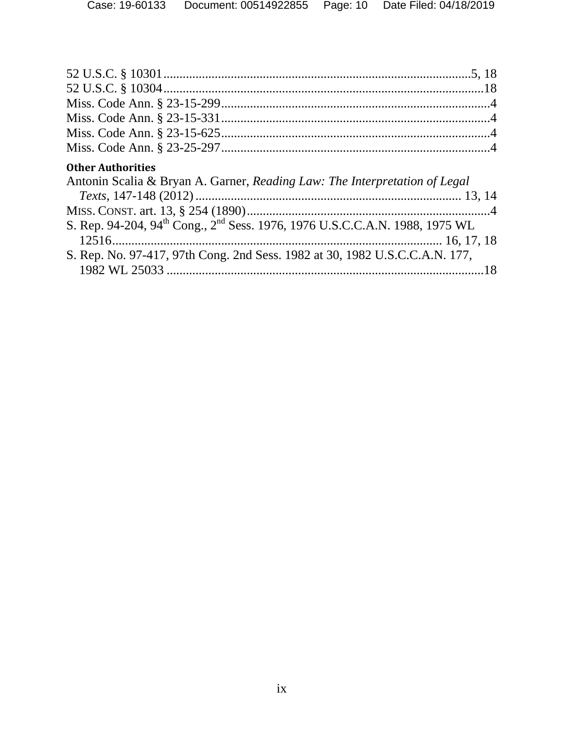| <b>Other Authorities</b>                                                                            |  |
|-----------------------------------------------------------------------------------------------------|--|
| Antonin Scalia & Bryan A. Garner, Reading Law: The Interpretation of Legal                          |  |
|                                                                                                     |  |
|                                                                                                     |  |
| S. Rep. 94-204, 94 <sup>th</sup> Cong., 2 <sup>nd</sup> Sess. 1976, 1976 U.S.C.C.A.N. 1988, 1975 WL |  |
|                                                                                                     |  |
|                                                                                                     |  |
| S. Rep. No. 97-417, 97th Cong. 2nd Sess. 1982 at 30, 1982 U.S.C.C.A.N. 177,                         |  |
|                                                                                                     |  |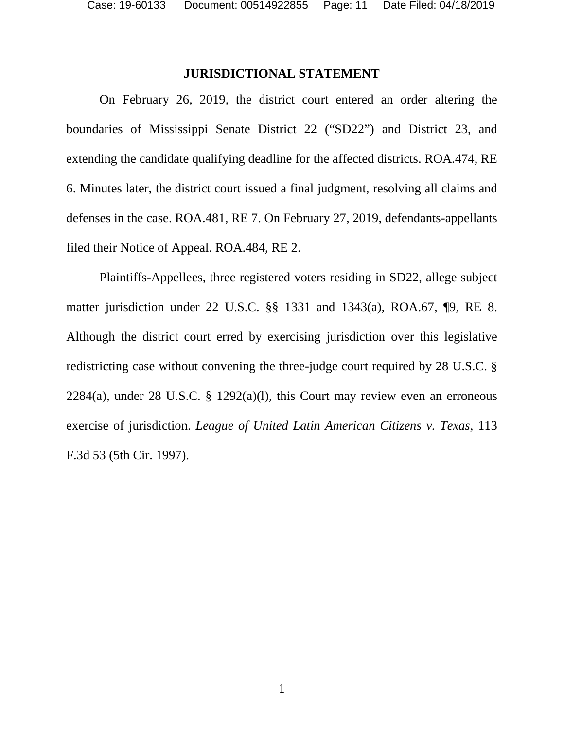### <span id="page-10-0"></span>**JURISDICTIONAL STATEMENT**

On February 26, 2019, the district court entered an order altering the boundaries of Mississippi Senate District 22 ("SD22") and District 23, and extending the candidate qualifying deadline for the affected districts. ROA.474, RE 6. Minutes later, the district court issued a final judgment, resolving all claims and defenses in the case. ROA.481, RE 7. On February 27, 2019, defendants-appellants filed their Notice of Appeal. ROA.484, RE 2.

Plaintiffs-Appellees, three registered voters residing in SD22, allege subject matter jurisdiction under 22 U.S.C. §§ 1331 and 1343(a), ROA.67, ¶9, RE 8. Although the district court erred by exercising jurisdiction over this legislative redistricting case without convening the three-judge court required by 28 U.S.C. §  $2284(a)$ , under 28 U.S.C. § 1292(a)(1), this Court may review even an erroneous exercise of jurisdiction. *League of United Latin American Citizens v. Texas*, 113 F.3d 53 (5th Cir. 1997).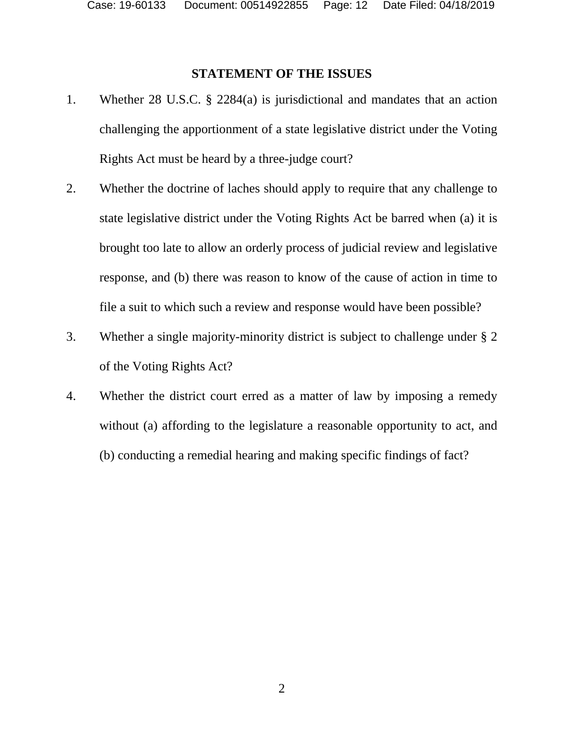# <span id="page-11-0"></span>**STATEMENT OF THE ISSUES**

- 1. Whether 28 U.S.C. § 2284(a) is jurisdictional and mandates that an action challenging the apportionment of a state legislative district under the Voting Rights Act must be heard by a three-judge court?
- 2. Whether the doctrine of laches should apply to require that any challenge to state legislative district under the Voting Rights Act be barred when (a) it is brought too late to allow an orderly process of judicial review and legislative response, and (b) there was reason to know of the cause of action in time to file a suit to which such a review and response would have been possible?
- 3. Whether a single majority-minority district is subject to challenge under § 2 of the Voting Rights Act?
- 4. Whether the district court erred as a matter of law by imposing a remedy without (a) affording to the legislature a reasonable opportunity to act, and (b) conducting a remedial hearing and making specific findings of fact?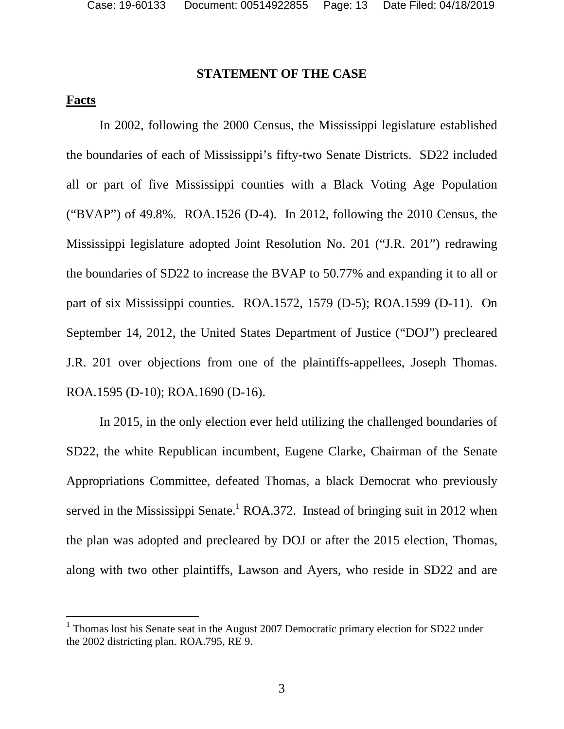### <span id="page-12-0"></span>**STATEMENT OF THE CASE**

### <span id="page-12-1"></span>**Facts**

In 2002, following the 2000 Census, the Mississippi legislature established the boundaries of each of Mississippi's fifty-two Senate Districts. SD22 included all or part of five Mississippi counties with a Black Voting Age Population ("BVAP") of 49.8%. ROA.1526 (D-4). In 2012, following the 2010 Census, the Mississippi legislature adopted Joint Resolution No. 201 ("J.R. 201") redrawing the boundaries of SD22 to increase the BVAP to 50.77% and expanding it to all or part of six Mississippi counties. ROA.1572, 1579 (D-5); ROA.1599 (D-11). On September 14, 2012, the United States Department of Justice ("DOJ") precleared J.R. 201 over objections from one of the plaintiffs-appellees, Joseph Thomas. ROA.1595 (D-10); ROA.1690 (D-16).

In 2015, in the only election ever held utilizing the challenged boundaries of SD22, the white Republican incumbent, Eugene Clarke, Chairman of the Senate Appropriations Committee, defeated Thomas, a black Democrat who previously served in the Mississippi Senate.<sup>[1](#page-12-2)</sup> ROA.372. Instead of bringing suit in 2012 when the plan was adopted and precleared by DOJ or after the 2015 election, Thomas, along with two other plaintiffs, Lawson and Ayers, who reside in SD22 and are

<span id="page-12-2"></span><sup>&</sup>lt;sup>1</sup> Thomas lost his Senate seat in the August 2007 Democratic primary election for SD22 under the 2002 districting plan. ROA.795, RE 9.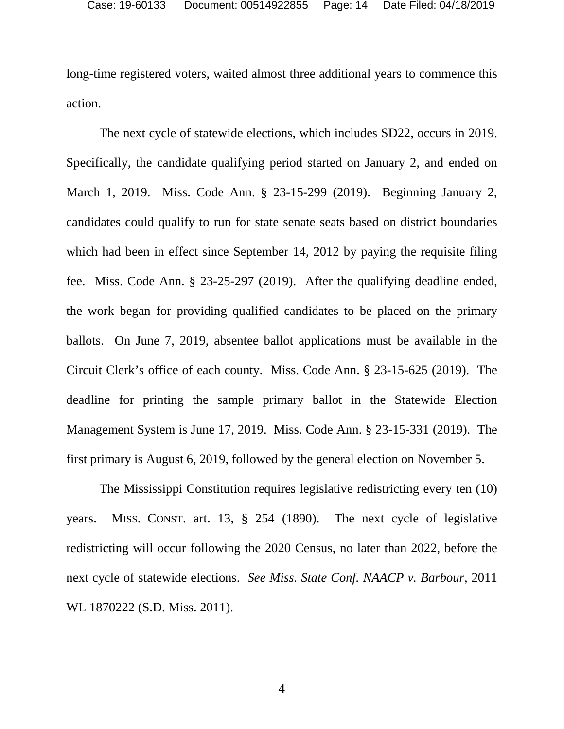long-time registered voters, waited almost three additional years to commence this action.

The next cycle of statewide elections, which includes SD22, occurs in 2019. Specifically, the candidate qualifying period started on January 2, and ended on March 1, 2019. Miss. Code Ann. § 23-15-299 (2019). Beginning January 2, candidates could qualify to run for state senate seats based on district boundaries which had been in effect since September 14, 2012 by paying the requisite filing fee. Miss. Code Ann. § 23-25-297 (2019). After the qualifying deadline ended, the work began for providing qualified candidates to be placed on the primary ballots. On June 7, 2019, absentee ballot applications must be available in the Circuit Clerk's office of each county. Miss. Code Ann. § 23-15-625 (2019). The deadline for printing the sample primary ballot in the Statewide Election Management System is June 17, 2019. Miss. Code Ann. § 23-15-331 (2019). The first primary is August 6, 2019, followed by the general election on November 5.

The Mississippi Constitution requires legislative redistricting every ten (10) years. MISS. CONST. art. 13, § 254 (1890). The next cycle of legislative redistricting will occur following the 2020 Census, no later than 2022, before the next cycle of statewide elections. *See Miss. State Conf. NAACP v. Barbour*, 2011 WL 1870222 (S.D. Miss. 2011).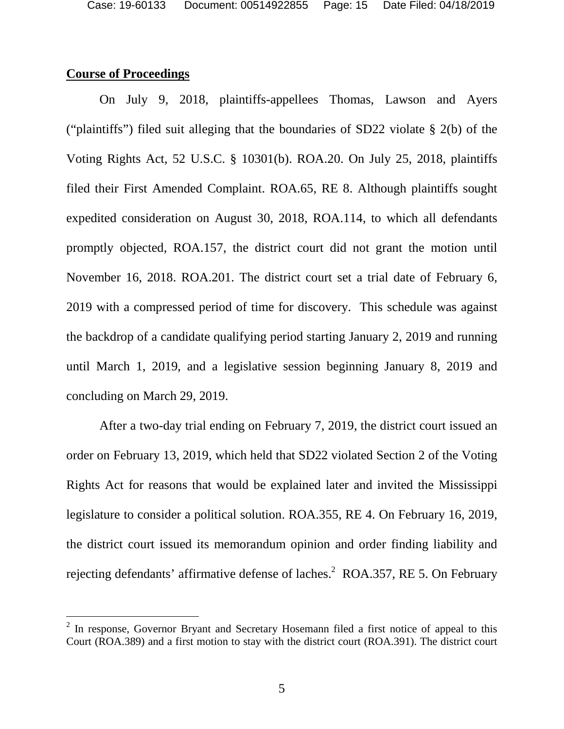## <span id="page-14-0"></span>**Course of Proceedings**

On July 9, 2018, plaintiffs-appellees Thomas, Lawson and Ayers ("plaintiffs") filed suit alleging that the boundaries of SD22 violate § 2(b) of the Voting Rights Act, 52 U.S.C. § 10301(b). ROA.20. On July 25, 2018, plaintiffs filed their First Amended Complaint. ROA.65, RE 8. Although plaintiffs sought expedited consideration on August 30, 2018, ROA.114, to which all defendants promptly objected, ROA.157, the district court did not grant the motion until November 16, 2018. ROA.201. The district court set a trial date of February 6, 2019 with a compressed period of time for discovery. This schedule was against the backdrop of a candidate qualifying period starting January 2, 2019 and running until March 1, 2019, and a legislative session beginning January 8, 2019 and concluding on March 29, 2019.

After a two-day trial ending on February 7, 2019, the district court issued an order on February 13, 2019, which held that SD22 violated Section 2 of the Voting Rights Act for reasons that would be explained later and invited the Mississippi legislature to consider a political solution. ROA.355, RE 4. On February 16, 2019, the district court issued its memorandum opinion and order finding liability and rejecting defendants' affirmative defense of laches.<sup>[2](#page-14-1)</sup> ROA.357, RE 5. On February

<span id="page-14-1"></span> $2$  In response, Governor Bryant and Secretary Hosemann filed a first notice of appeal to this Court (ROA.389) and a first motion to stay with the district court (ROA.391). The district court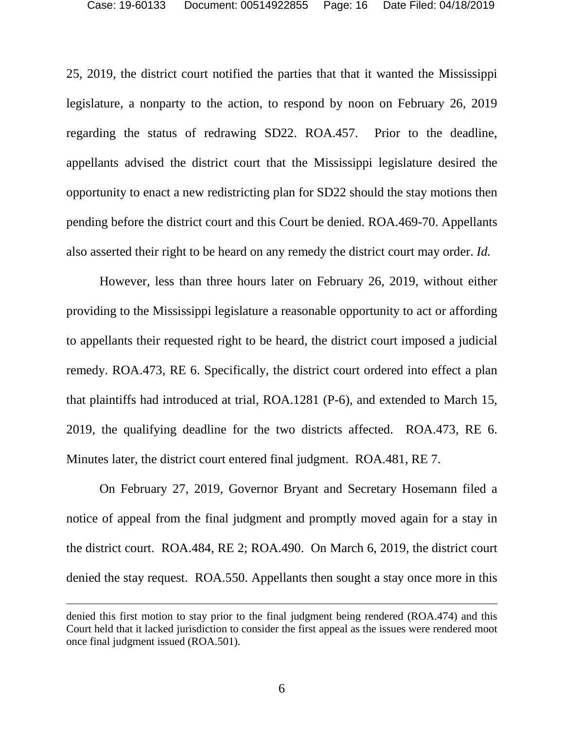25, 2019, the district court notified the parties that that it wanted the Mississippi legislature, a nonparty to the action, to respond by noon on February 26, 2019 regarding the status of redrawing SD22. ROA.457. Prior to the deadline, appellants advised the district court that the Mississippi legislature desired the opportunity to enact a new redistricting plan for SD22 should the stay motions then pending before the district court and this Court be denied. ROA.469-70. Appellants also asserted their right to be heard on any remedy the district court may order. *Id.*

However, less than three hours later on February 26, 2019, without either providing to the Mississippi legislature a reasonable opportunity to act or affording to appellants their requested right to be heard, the district court imposed a judicial remedy. ROA.473, RE 6. Specifically, the district court ordered into effect a plan that plaintiffs had introduced at trial, ROA.1281 (P-6), and extended to March 15, 2019, the qualifying deadline for the two districts affected. ROA.473, RE 6. Minutes later, the district court entered final judgment. ROA.481, RE 7.

On February 27, 2019, Governor Bryant and Secretary Hosemann filed a notice of appeal from the final judgment and promptly moved again for a stay in the district court. ROA.484, RE 2; ROA.490. On March 6, 2019, the district court denied the stay request. ROA.550. Appellants then sought a stay once more in this

denied this first motion to stay prior to the final judgment being rendered (ROA.474) and this Court held that it lacked jurisdiction to consider the first appeal as the issues were rendered moot once final judgment issued (ROA.501).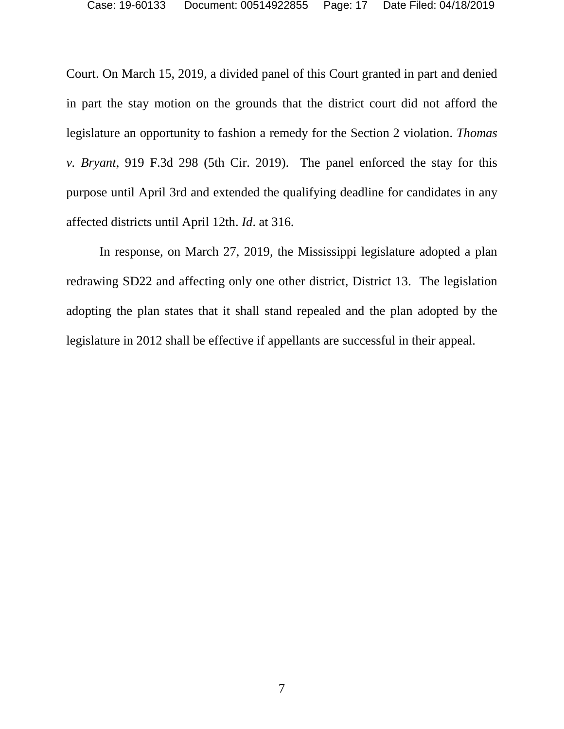Court. On March 15, 2019, a divided panel of this Court granted in part and denied in part the stay motion on the grounds that the district court did not afford the legislature an opportunity to fashion a remedy for the Section 2 violation. *Thomas v. Bryant*, 919 F.3d 298 (5th Cir. 2019). The panel enforced the stay for this purpose until April 3rd and extended the qualifying deadline for candidates in any affected districts until April 12th. *Id*. at 316.

In response, on March 27, 2019, the Mississippi legislature adopted a plan redrawing SD22 and affecting only one other district, District 13. The legislation adopting the plan states that it shall stand repealed and the plan adopted by the legislature in 2012 shall be effective if appellants are successful in their appeal.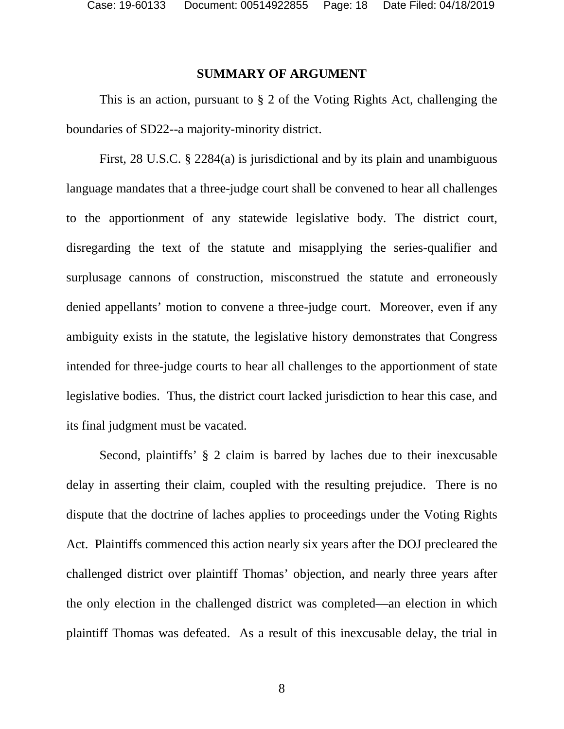#### <span id="page-17-0"></span>**SUMMARY OF ARGUMENT**

This is an action, pursuant to § 2 of the Voting Rights Act, challenging the boundaries of SD22--a majority-minority district.

First, 28 U.S.C. § 2284(a) is jurisdictional and by its plain and unambiguous language mandates that a three-judge court shall be convened to hear all challenges to the apportionment of any statewide legislative body. The district court, disregarding the text of the statute and misapplying the series-qualifier and surplusage cannons of construction, misconstrued the statute and erroneously denied appellants' motion to convene a three-judge court. Moreover, even if any ambiguity exists in the statute, the legislative history demonstrates that Congress intended for three-judge courts to hear all challenges to the apportionment of state legislative bodies. Thus, the district court lacked jurisdiction to hear this case, and its final judgment must be vacated.

Second, plaintiffs' § 2 claim is barred by laches due to their inexcusable delay in asserting their claim, coupled with the resulting prejudice. There is no dispute that the doctrine of laches applies to proceedings under the Voting Rights Act. Plaintiffs commenced this action nearly six years after the DOJ precleared the challenged district over plaintiff Thomas' objection, and nearly three years after the only election in the challenged district was completed—an election in which plaintiff Thomas was defeated. As a result of this inexcusable delay, the trial in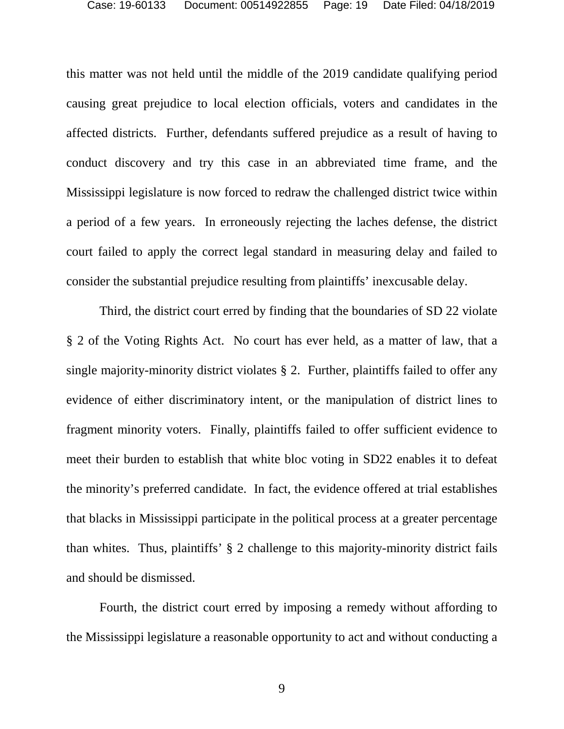this matter was not held until the middle of the 2019 candidate qualifying period causing great prejudice to local election officials, voters and candidates in the affected districts. Further, defendants suffered prejudice as a result of having to conduct discovery and try this case in an abbreviated time frame, and the Mississippi legislature is now forced to redraw the challenged district twice within a period of a few years. In erroneously rejecting the laches defense, the district court failed to apply the correct legal standard in measuring delay and failed to consider the substantial prejudice resulting from plaintiffs' inexcusable delay.

Third, the district court erred by finding that the boundaries of SD 22 violate § 2 of the Voting Rights Act. No court has ever held, as a matter of law, that a single majority-minority district violates § 2. Further, plaintiffs failed to offer any evidence of either discriminatory intent, or the manipulation of district lines to fragment minority voters. Finally, plaintiffs failed to offer sufficient evidence to meet their burden to establish that white bloc voting in SD22 enables it to defeat the minority's preferred candidate. In fact, the evidence offered at trial establishes that blacks in Mississippi participate in the political process at a greater percentage than whites. Thus, plaintiffs' § 2 challenge to this majority-minority district fails and should be dismissed.

Fourth, the district court erred by imposing a remedy without affording to the Mississippi legislature a reasonable opportunity to act and without conducting a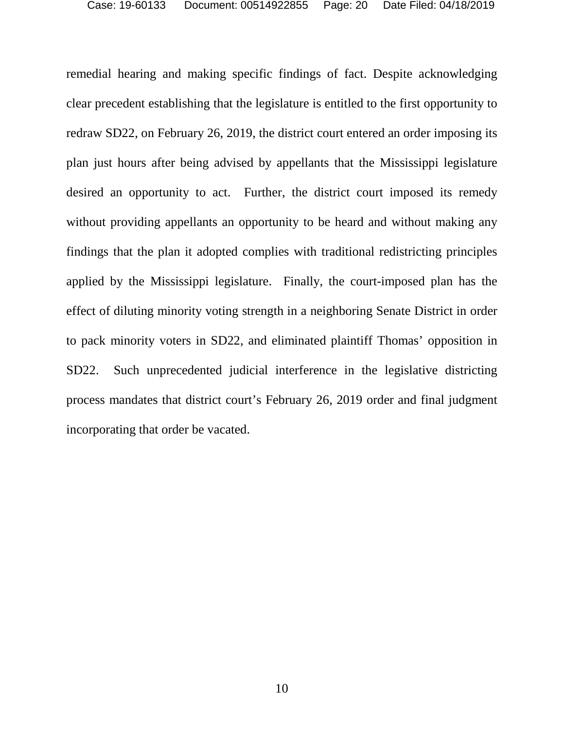remedial hearing and making specific findings of fact. Despite acknowledging clear precedent establishing that the legislature is entitled to the first opportunity to redraw SD22, on February 26, 2019, the district court entered an order imposing its plan just hours after being advised by appellants that the Mississippi legislature desired an opportunity to act. Further, the district court imposed its remedy without providing appellants an opportunity to be heard and without making any findings that the plan it adopted complies with traditional redistricting principles applied by the Mississippi legislature. Finally, the court-imposed plan has the effect of diluting minority voting strength in a neighboring Senate District in order to pack minority voters in SD22, and eliminated plaintiff Thomas' opposition in SD22. Such unprecedented judicial interference in the legislative districting process mandates that district court's February 26, 2019 order and final judgment incorporating that order be vacated.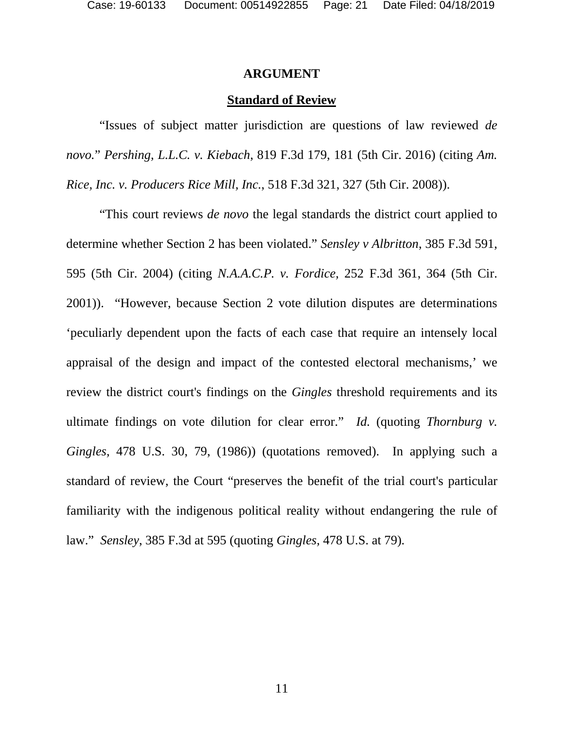#### <span id="page-20-0"></span>**ARGUMENT**

#### **Standard of Review**

"Issues of subject matter jurisdiction are questions of law reviewed *de novo.*" *Pershing, L.L.C. v. Kiebach*, 819 F.3d 179, 181 (5th Cir. 2016) (citing *[Am.](https://1.next.westlaw.com/Link/Document/FullText?findType=Y&serNum=2015312960&pubNum=0000506&originatingDoc=I1721d50ffcb911e5b4bafa136b480ad2&refType=RP&fi=co_pp_sp_506_327&originationContext=document&transitionType=DocumentItem&contextData=(sc.Search)#co_pp_sp_506_327)  [Rice, Inc. v. Producers Rice Mill, Inc.](https://1.next.westlaw.com/Link/Document/FullText?findType=Y&serNum=2015312960&pubNum=0000506&originatingDoc=I1721d50ffcb911e5b4bafa136b480ad2&refType=RP&fi=co_pp_sp_506_327&originationContext=document&transitionType=DocumentItem&contextData=(sc.Search)#co_pp_sp_506_327)*, 518 F.3d 321, 327 (5th Cir. 2008)).

"This court reviews *de novo* the legal standards the district court applied to determine whether Section 2 has been violated." *Sensley v Albritton*, 385 F.3d 591, 595 (5th Cir. 2004) (citing *[N.A.A.C.P. v. Fordice,](https://1.next.westlaw.com/Link/Document/FullText?findType=Y&serNum=2001421554&pubNum=506&originatingDoc=I79ab04a18bb611d9af17b5c9441c4c47&refType=RP&fi=co_pp_sp_506_364&originationContext=document&transitionType=DocumentItem&contextData=(sc.Search)#co_pp_sp_506_364)* [252 F.3d 361, 364 \(5th Cir.](https://1.next.westlaw.com/Link/Document/FullText?findType=Y&serNum=2001421554&pubNum=506&originatingDoc=I79ab04a18bb611d9af17b5c9441c4c47&refType=RP&fi=co_pp_sp_506_364&originationContext=document&transitionType=DocumentItem&contextData=(sc.Search)#co_pp_sp_506_364)  [2001\)\). "However, because Section 2 vote dilution disputes are determinations](https://1.next.westlaw.com/Link/Document/FullText?findType=Y&serNum=2001421554&pubNum=506&originatingDoc=I79ab04a18bb611d9af17b5c9441c4c47&refType=RP&fi=co_pp_sp_506_364&originationContext=document&transitionType=DocumentItem&contextData=(sc.Search)#co_pp_sp_506_364)  'peculiarly dependent upon the facts of each case that require an intensely local appraisal of the design and impact of the contested electoral mechanisms,' we review the district court's findings on the *Gingles* threshold requirements and its ultimate findings on vote dilution for clear error." *Id.* (quoting *Thornburg v. Gingles,* 478 U.S. 30, 79, (1986)) (quotations removed). In applying such a standard of review, the Court "preserves the benefit of the trial court's particular familiarity with the indigenous political reality without endangering the rule of law." *Sensley*, 385 F.3d at 595 (quoting *Gingles,* 478 U.S. at 79).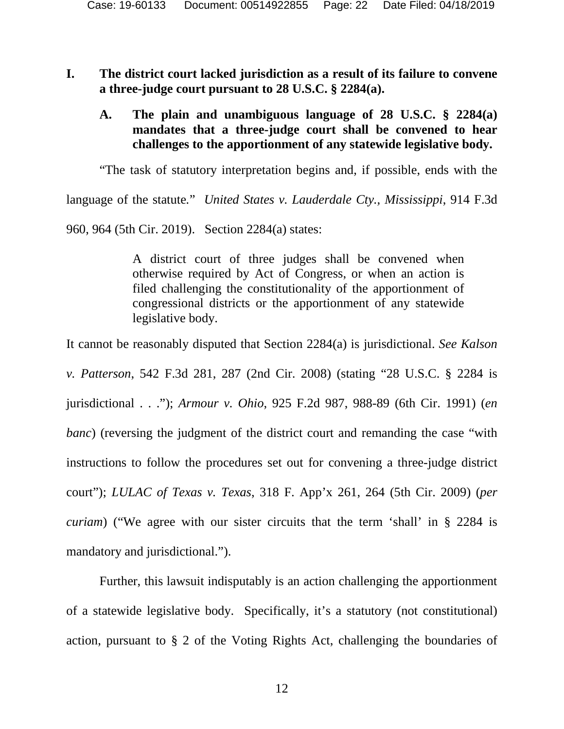### <span id="page-21-0"></span>**I. The district court lacked jurisdiction as a result of its failure to convene a three-judge court pursuant to 28 U.S.C. § 2284(a).**

## <span id="page-21-1"></span>**A. The plain and unambiguous language of 28 U.S.C. § 2284(a) mandates that a three-judge court shall be convened to hear challenges to the apportionment of any statewide legislative body.**

"The task of statutory interpretation begins and, if possible, ends with the

language of the statute*.*" *United States v. Lauderdale Cty., Mississippi*, 914 F.3d 960, 964 (5th Cir. 2019). Section 2284(a) states:

> A district court of three judges shall be convened when otherwise required by Act of Congress, or when an action is filed challenging the constitutionality of the apportionment of congressional districts or the apportionment of any statewide legislative body.

It cannot be reasonably disputed that Section 2284(a) is jurisdictional. *See Kalson* 

*v. Patterson*, 542 F.3d 281, 287 (2nd Cir. 2008) (stating "28 U.S.C. § 2284 is jurisdictional . . ."); *Armour v. Ohio*, 925 F.2d 987, 988-89 (6th Cir. 1991) (*en banc*) (reversing the judgment of the district court and remanding the case "with" instructions to follow the procedures set out for convening a three-judge district court"); *LULAC of Texas v. Texas*, 318 F. App'x 261, 264 (5th Cir. 2009) (*per curiam*) ("We agree with our sister circuits that the term 'shall' in § 2284 is mandatory and jurisdictional.").

Further, this lawsuit indisputably is an action challenging the apportionment of a statewide legislative body. Specifically, it's a statutory (not constitutional) action, pursuant to § 2 of the Voting Rights Act, challenging the boundaries of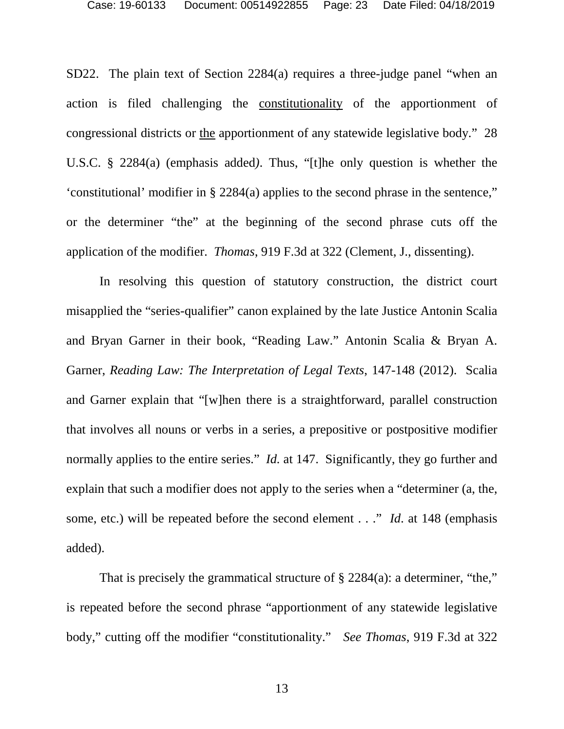SD22. The plain text of Section 2284(a) requires a three-judge panel "when an action is filed challenging the constitutionality of the apportionment of congressional districts or the apportionment of any statewide legislative body." 28 U.S.C. § 2284(a) (emphasis added*)*. Thus, "[t]he only question is whether the 'constitutional' modifier in § 2284(a) applies to the second phrase in the sentence," or the determiner "the" at the beginning of the second phrase cuts off the application of the modifier. *Thomas*, 919 F.3d at 322 (Clement, J., dissenting).

In resolving this question of statutory construction, the district court misapplied the "series-qualifier" canon explained by the late Justice Antonin Scalia and Bryan Garner in their book, "Reading Law." Antonin Scalia & Bryan A. Garner, *Reading Law: The Interpretation of Legal Texts*, 147-148 (2012). Scalia and Garner explain that "[w]hen there is a straightforward, parallel construction that involves all nouns or verbs in a series, a prepositive or postpositive modifier normally applies to the entire series." *Id.* at 147. Significantly, they go further and explain that such a modifier does not apply to the series when a "determiner (a, the, some, etc.) will be repeated before the second element . . ." *Id*. at 148 (emphasis added).

That is precisely the grammatical structure of § 2284(a): a determiner, "the," is repeated before the second phrase "apportionment of any statewide legislative body," cutting off the modifier "constitutionality." *See Thomas*, 919 F.3d at 322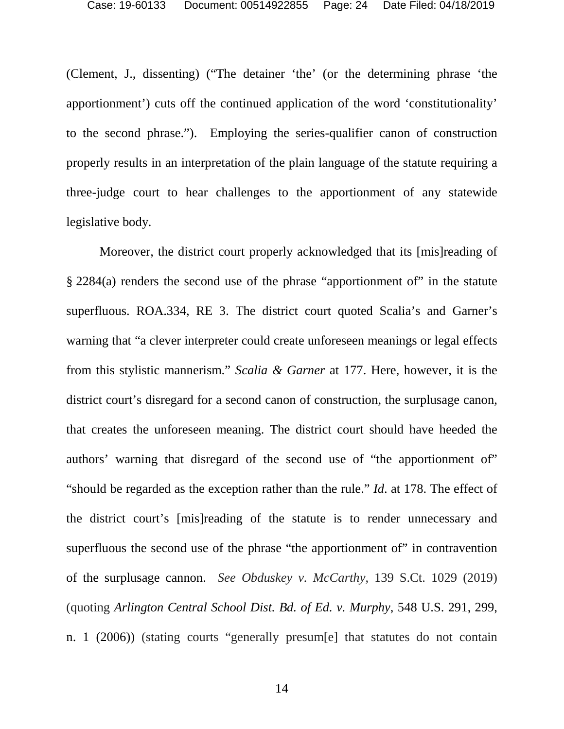(Clement, J., dissenting) ("The detainer 'the' (or the determining phrase 'the apportionment') cuts off the continued application of the word 'constitutionality' to the second phrase."). Employing the series-qualifier canon of construction properly results in an interpretation of the plain language of the statute requiring a three-judge court to hear challenges to the apportionment of any statewide legislative body.

Moreover, the district court properly acknowledged that its [mis]reading of § 2284(a) renders the second use of the phrase "apportionment of" in the statute superfluous. ROA.334, RE 3. The district court quoted Scalia's and Garner's warning that "a clever interpreter could create unforeseen meanings or legal effects from this stylistic mannerism." *Scalia & Garner* at 177. Here, however, it is the district court's disregard for a second canon of construction, the surplusage canon, that creates the unforeseen meaning. The district court should have heeded the authors' warning that disregard of the second use of "the apportionment of" "should be regarded as the exception rather than the rule." *Id*. at 178. The effect of the district court's [mis]reading of the statute is to render unnecessary and superfluous the second use of the phrase "the apportionment of" in contravention of the surplusage cannon. *See Obduskey v. McCarthy*, 139 S.Ct. 1029 (2019) (quoting *[Arlington Central School Dist. Bd. of Ed. v.](https://1.next.westlaw.com/Link/Document/FullText?findType=Y&serNum=2009430774&pubNum=0000780&originatingDoc=Iaed505a84b0b11e9bbbcd57aa014637b&refType=RP&fi=co_pp_sp_780_299&originationContext=document&transitionType=DocumentItem&contextData=(sc.Search)#co_pp_sp_780_299) [Murphy](https://1.next.westlaw.com/Link/Document/FullText?findType=Y&serNum=2009430774&pubNum=0000780&originatingDoc=Iaed505a84b0b11e9bbbcd57aa014637b&refType=RP&fi=co_pp_sp_780_299&originationContext=document&transitionType=DocumentItem&contextData=(sc.Search)#co_pp_sp_780_299)*[, 548 U.S. 291, 299,](https://1.next.westlaw.com/Link/Document/FullText?findType=Y&serNum=2009430774&pubNum=0000780&originatingDoc=Iaed505a84b0b11e9bbbcd57aa014637b&refType=RP&fi=co_pp_sp_780_299&originationContext=document&transitionType=DocumentItem&contextData=(sc.Search)#co_pp_sp_780_299)  [n. 1 \(2006\)\) \(stating courts "generally presum\[e\] that statutes do not contain](https://1.next.westlaw.com/Link/Document/FullText?findType=Y&serNum=2009430774&pubNum=0000780&originatingDoc=Iaed505a84b0b11e9bbbcd57aa014637b&refType=RP&fi=co_pp_sp_780_299&originationContext=document&transitionType=DocumentItem&contextData=(sc.Search)#co_pp_sp_780_299)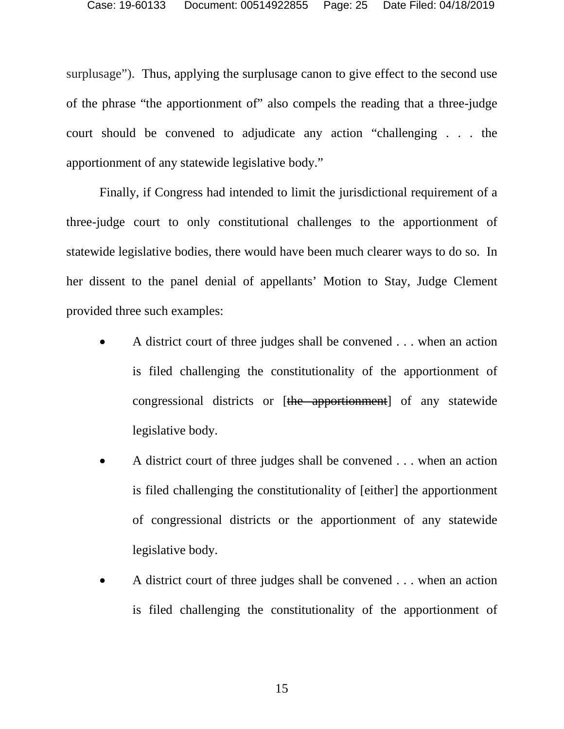surplusage"). Thus, applying the surplusage canon to give effect to the second use of the phrase "the apportionment of" also compels the reading that a three-judge court should be convened to adjudicate any action "challenging . . . the apportionment of any statewide legislative body."

Finally, if Congress had intended to limit the jurisdictional requirement of a three-judge court to only constitutional challenges to the apportionment of statewide legislative bodies, there would have been much clearer ways to do so. In her dissent to the panel denial of appellants' Motion to Stay, Judge Clement provided three such examples:

- A district court of three judges shall be convened . . . when an action is filed challenging the constitutionality of the apportionment of congressional districts or [the apportionment] of any statewide legislative body.
- A district court of three judges shall be convened . . . when an action is filed challenging the constitutionality of [either] the apportionment of congressional districts or the apportionment of any statewide legislative body.
- A district court of three judges shall be convened . . . when an action is filed challenging the constitutionality of the apportionment of

15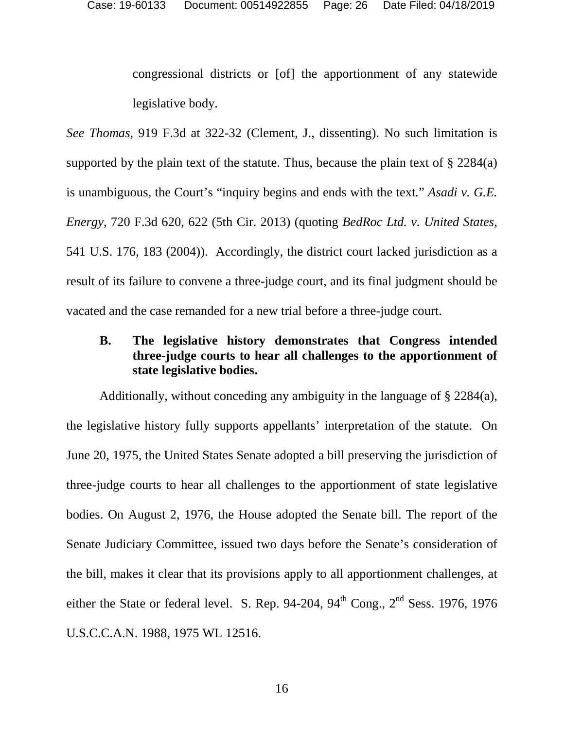congressional districts or [of] the apportionment of any statewide legislative body.

*See Thomas*, 919 F.3d at 322-32 (Clement, J., dissenting). No such limitation is supported by the plain text of the statute. Thus, because the plain text of  $\S 2284(a)$ is unambiguous, the Court's "inquiry begins and ends with the text*.*" *Asadi v. G.E. Energy*, 720 F.3d 620, 622 (5th Cir. 2013) (quoting *BedRoc Ltd. v. United States*, 541 U.S. 176, 183 (2004)). Accordingly, the district court lacked jurisdiction as a result of its failure to convene a three-judge court, and its final judgment should be vacated and the case remanded for a new trial before a three-judge court.

# <span id="page-25-0"></span>**B. The legislative history demonstrates that Congress intended three-judge courts to hear all challenges to the apportionment of state legislative bodies.**

Additionally, without conceding any ambiguity in the language of § 2284(a), the legislative history fully supports appellants' interpretation of the statute. On June 20, 1975, the United States Senate adopted a bill preserving the jurisdiction of three-judge courts to hear all challenges to the apportionment of state legislative bodies. On August 2, 1976, the House adopted the Senate bill. The report of the Senate Judiciary Committee, issued two days before the Senate's consideration of the bill, makes it clear that its provisions apply to all apportionment challenges, at either the State or federal level. S. Rep. 94-204,  $94<sup>th</sup>$  Cong.,  $2<sup>nd</sup>$  Sess. 1976, 1976 U.S.C.C.A.N. 1988, 1975 WL 12516.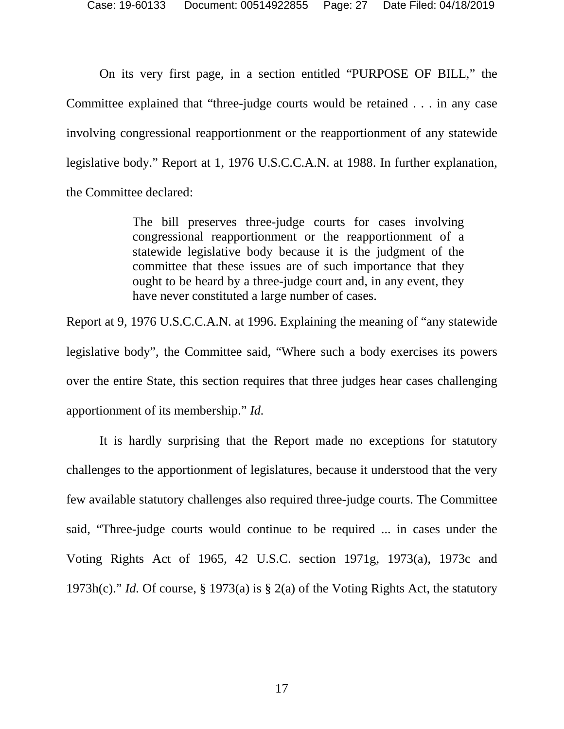On its very first page, in a section entitled "PURPOSE OF BILL," the Committee explained that "three-judge courts would be retained . . . in any case involving congressional reapportionment or the reapportionment of any statewide legislative body." Report at 1, 1976 U.S.C.C.A.N. at 1988. In further explanation, the Committee declared:

> The bill preserves three-judge courts for cases involving congressional reapportionment or the reapportionment of a statewide legislative body because it is the judgment of the committee that these issues are of such importance that they ought to be heard by a three-judge court and, in any event, they have never constituted a large number of cases.

Report at 9, 1976 U.S.C.C.A.N. at 1996. Explaining the meaning of "any statewide legislative body", the Committee said, "Where such a body exercises its powers over the entire State, this section requires that three judges hear cases challenging apportionment of its membership." *Id.* 

It is hardly surprising that the Report made no exceptions for statutory challenges to the apportionment of legislatures, because it understood that the very few available statutory challenges also required three-judge courts. The Committee said, "Three-judge courts would continue to be required ... in cases under the Voting Rights Act of 1965, 42 U.S.C. section 1971g, 1973(a), 1973c and 1973h(c)." *Id.* Of course, § 1973(a) is § 2(a) of the Voting Rights Act, the statutory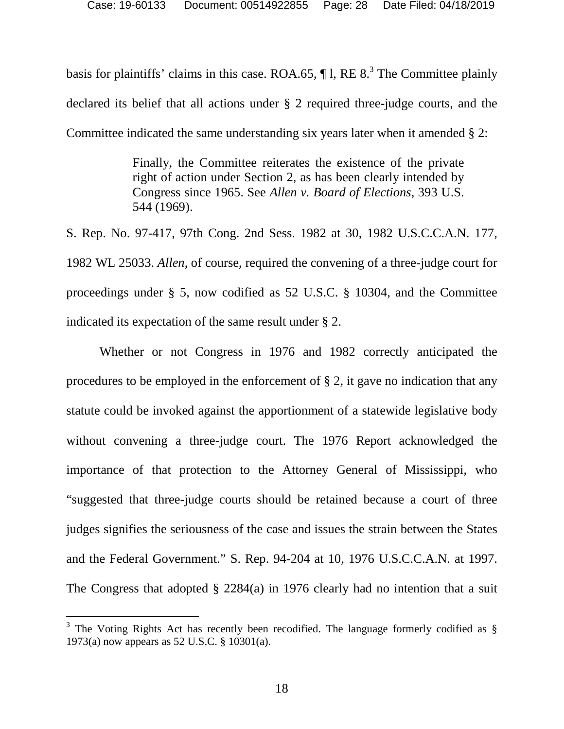basisfor plaintiffs' claims in this case. ROA.65,  $\P$ 1, RE 8.<sup>3</sup> The Committee plainly declared its belief that all actions under § 2 required three-judge courts, and the Committee indicated the same understanding six years later when it amended § 2:

> Finally, the Committee reiterates the existence of the private right of action under Section 2, as has been clearly intended by Congress since 1965. See *Allen v. Board of Elections*, 393 U.S. 544 (1969).

S. Rep. No. 97-417, 97th Cong. 2nd Sess. 1982 at 30, 1982 U.S.C.C.A.N. 177, 1982 WL 25033. *Allen*, of course, required the convening of a three-judge court for proceedings under § 5, now codified as 52 U.S.C. § 10304, and the Committee indicated its expectation of the same result under § 2.

Whether or not Congress in 1976 and 1982 correctly anticipated the procedures to be employed in the enforcement of § 2, it gave no indication that any statute could be invoked against the apportionment of a statewide legislative body without convening a three-judge court. The 1976 Report acknowledged the importance of that protection to the Attorney General of Mississippi, who "suggested that three-judge courts should be retained because a court of three judges signifies the seriousness of the case and issues the strain between the States and the Federal Government." S. Rep. 94-204 at 10, 1976 U.S.C.C.A.N. at 1997. The Congress that adopted § 2284(a) in 1976 clearly had no intention that a suit

<span id="page-27-0"></span> $3$  The Voting Rights Act has recently been recodified. The language formerly codified as  $\S$ 1973(a) now appears as 52 U.S.C. § 10301(a).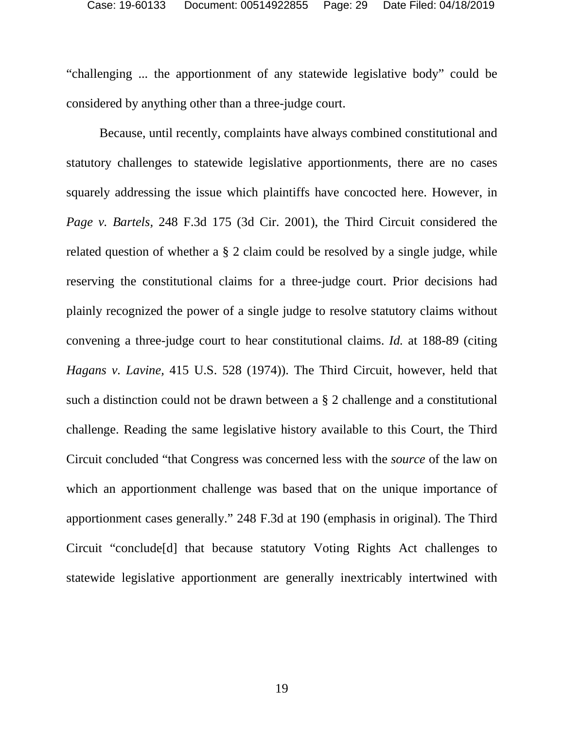"challenging ... the apportionment of any statewide legislative body" could be considered by anything other than a three-judge court.

Because, until recently, complaints have always combined constitutional and statutory challenges to statewide legislative apportionments, there are no cases squarely addressing the issue which plaintiffs have concocted here. However, in *Page v. Bartels,* 248 F.3d 175 (3d Cir. 2001), the Third Circuit considered the related question of whether a § 2 claim could be resolved by a single judge, while reserving the constitutional claims for a three-judge court. Prior decisions had plainly recognized the power of a single judge to resolve statutory claims without convening a three-judge court to hear constitutional claims. *Id.* at 188-89 (citing *Hagans v. Lavine,* 415 U.S. 528 (1974)). The Third Circuit, however, held that such a distinction could not be drawn between a § 2 challenge and a constitutional challenge. Reading the same legislative history available to this Court, the Third Circuit concluded "that Congress was concerned less with the *source* of the law on which an apportionment challenge was based that on the unique importance of apportionment cases generally." 248 F.3d at 190 (emphasis in original). The Third Circuit "conclude[d] that because statutory Voting Rights Act challenges to statewide legislative apportionment are generally inextricably intertwined with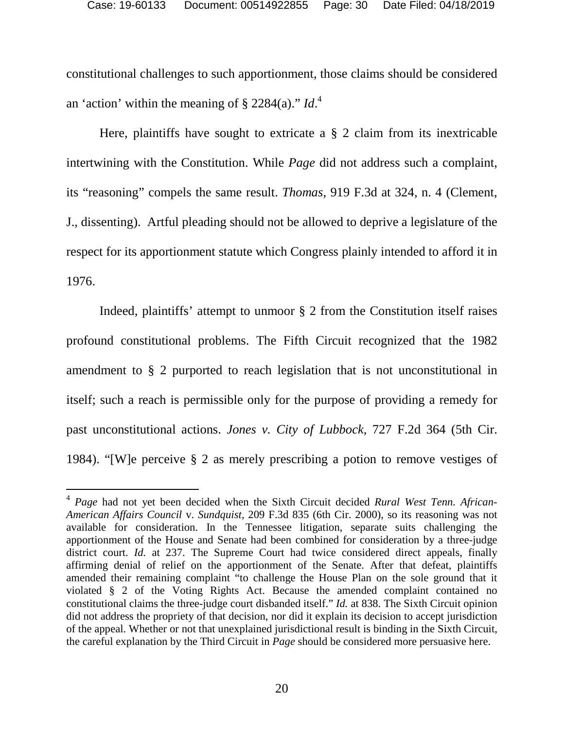constitutional challenges to such apportionment, those claims should be considered an 'action' within the meaning of  $\S 2284(a)$  $\S 2284(a)$  $\S 2284(a)$ ."  $Id.$ <sup>4</sup>

Here, plaintiffs have sought to extricate a  $\S$  2 claim from its inextricable intertwining with the Constitution. While *Page* did not address such a complaint, its "reasoning" compels the same result. *Thomas*, 919 F.3d at 324, n. 4 (Clement, J., dissenting). Artful pleading should not be allowed to deprive a legislature of the respect for its apportionment statute which Congress plainly intended to afford it in 1976.

Indeed, plaintiffs' attempt to unmoor § 2 from the Constitution itself raises profound constitutional problems. The Fifth Circuit recognized that the 1982 amendment to § 2 purported to reach legislation that is not unconstitutional in itself; such a reach is permissible only for the purpose of providing a remedy for past unconstitutional actions. *Jones v. City of Lubbock,* 727 F.2d 364 (5th Cir. 1984). "[W]e perceive § 2 as merely prescribing a potion to remove vestiges of

<span id="page-29-0"></span><sup>4</sup> *Page* had not yet been decided when the Sixth Circuit decided *Rural West Tenn. African-American Affairs Council* v. *Sundquist*, 209 F.3d 835 (6th Cir. 2000), so its reasoning was not available for consideration. In the Tennessee litigation, separate suits challenging the apportionment of the House and Senate had been combined for consideration by a three-judge district court. *Id.* at 237. The Supreme Court had twice considered direct appeals, finally affirming denial of relief on the apportionment of the Senate. After that defeat, plaintiffs amended their remaining complaint "to challenge the House Plan on the sole ground that it violated § 2 of the Voting Rights Act. Because the amended complaint contained no constitutional claims the three-judge court disbanded itself." *Id.* at 838. The Sixth Circuit opinion did not address the propriety of that decision, nor did it explain its decision to accept jurisdiction of the appeal. Whether or not that unexplained jurisdictional result is binding in the Sixth Circuit, the careful explanation by the Third Circuit in *Page* should be considered more persuasive here.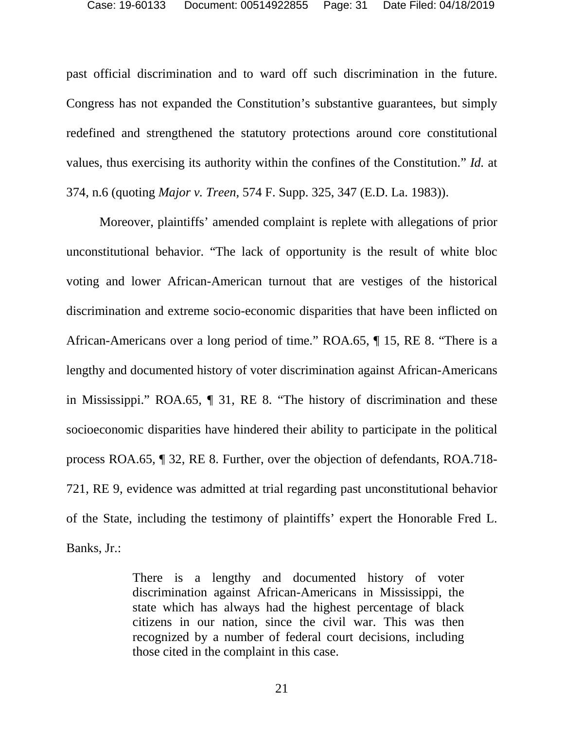past official discrimination and to ward off such discrimination in the future. Congress has not expanded the Constitution's substantive guarantees, but simply redefined and strengthened the statutory protections around core constitutional values, thus exercising its authority within the confines of the Constitution." *Id.* at 374, n.6 (quoting *Major v. Treen,* 574 F. Supp. 325, 347 (E.D. La. 1983)).

Moreover, plaintiffs' amended complaint is replete with allegations of prior unconstitutional behavior. "The lack of opportunity is the result of white bloc voting and lower African-American turnout that are vestiges of the historical discrimination and extreme socio-economic disparities that have been inflicted on African-Americans over a long period of time." ROA.65, ¶ 15, RE 8. "There is a lengthy and documented history of voter discrimination against African-Americans in Mississippi." ROA.65, ¶ 31, RE 8. "The history of discrimination and these socioeconomic disparities have hindered their ability to participate in the political process ROA.65*,* ¶ 32, RE 8. Further, over the objection of defendants, ROA.718- 721, RE 9, evidence was admitted at trial regarding past unconstitutional behavior of the State, including the testimony of plaintiffs' expert the Honorable Fred L. Banks, Jr.:

> There is a lengthy and documented history of voter discrimination against African-Americans in Mississippi, the state which has always had the highest percentage of black citizens in our nation, since the civil war. This was then recognized by a number of federal court decisions, including those cited in the complaint in this case.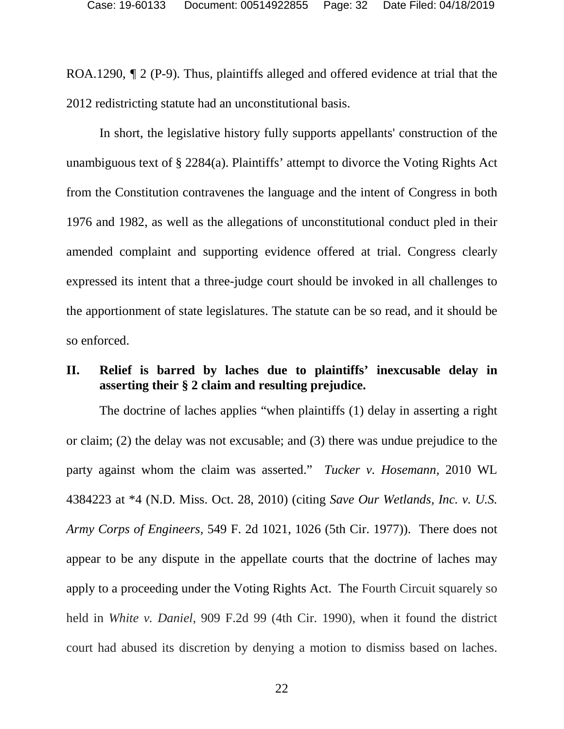ROA.1290,  $\sqrt{T}$  2 (P-9). Thus, plaintiffs alleged and offered evidence at trial that the 2012 redistricting statute had an unconstitutional basis.

In short, the legislative history fully supports appellants' construction of the unambiguous text of § 2284(a). Plaintiffs' attempt to divorce the Voting Rights Act from the Constitution contravenes the language and the intent of Congress in both 1976 and 1982, as well as the allegations of unconstitutional conduct pled in their amended complaint and supporting evidence offered at trial. Congress clearly expressed its intent that a three-judge court should be invoked in all challenges to the apportionment of state legislatures. The statute can be so read, and it should be so enforced.

# <span id="page-31-0"></span>**II. Relief is barred by laches due to plaintiffs' inexcusable delay in asserting their § 2 claim and resulting prejudice.**

The doctrine of laches applies "when plaintiffs (1) delay in asserting a right or claim; (2) the delay was not excusable; and (3) there was undue prejudice to the party against whom the claim was asserted." *Tucker v. Hosemann,* 2010 WL 4384223 at \*4 (N.D. Miss. Oct. 28, 2010) (citing *Save Our Wetlands, Inc. v. U.S. Army Corps of Engineers,* 549 F. 2d 1021, 1026 (5th Cir. 1977)). There does not appear to be any dispute in the appellate courts that the doctrine of laches may apply to a proceeding under the Voting Rights Act. The Fourth Circuit squarely so held in *White v. Daniel,* 909 F.2d 99 (4th Cir. 1990), when it found the district court had abused its discretion by denying a motion to dismiss based on laches.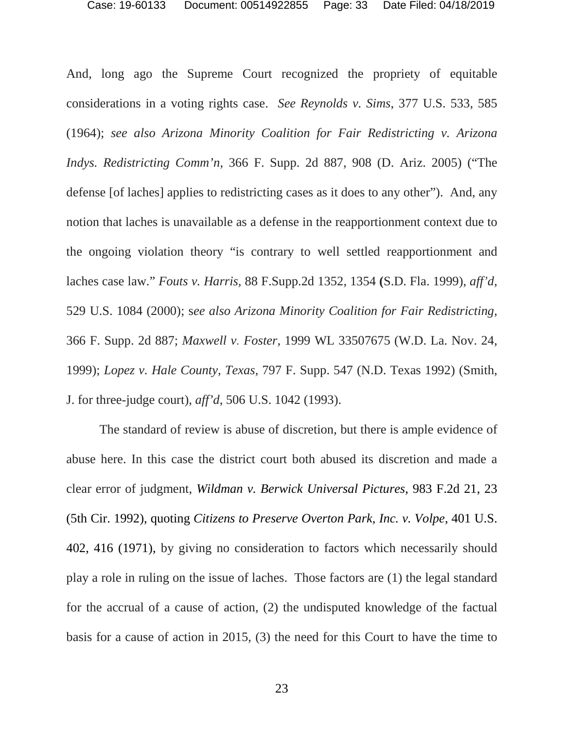And, long ago the Supreme Court recognized the propriety of equitable considerations in a voting rights case. *See Reynolds v. Sims*, 377 U.S. 533, 585 (1964); *see also Arizona Minority Coalition for Fair Redistricting v. Arizona Indys. Redistricting Comm'n*, 366 F. Supp. 2d 887, 908 (D. Ariz. 2005) ("The defense [of laches] applies to redistricting cases as it does to any other"). And, any notion that laches is unavailable as a defense in the reapportionment context due to the ongoing violation theory "is contrary to well settled reapportionment and laches case law." *Fouts v. Harris,* 88 F.Supp.2d 1352, 1354 **(**S.D. Fla. 1999), *aff'd*, 529 U.S. 1084 (2000); s*ee also Arizona Minority Coalition for Fair Redistricting,*  366 F. Supp. 2d 887; *Maxwell v. Foster,* 1999 WL 33507675 (W.D. La. Nov. 24, 1999); *Lopez v. Hale County, Texas,* 797 F. Supp. 547 (N.D. Texas 1992) (Smith, J. for three-judge court), *aff'd*, 506 U.S. 1042 (1993).

The standard of review is abuse of discretion, but there is ample evidence of abuse here. In this case the district court both abused its discretion and made a clear error of judgment, *Wildman v. Berwick Universal Pictures*, 983 F.2d 21, 23 (5th Cir. 1992), quoting *Citizens to Preserve Overton Park, Inc. v. Volpe*, 401 U.S. 402, 416 (1971), by giving no consideration to factors which necessarily should play a role in ruling on the issue of laches. Those factors are (1) the legal standard for the accrual of a cause of action, (2) the undisputed knowledge of the factual basis for a cause of action in 2015, (3) the need for this Court to have the time to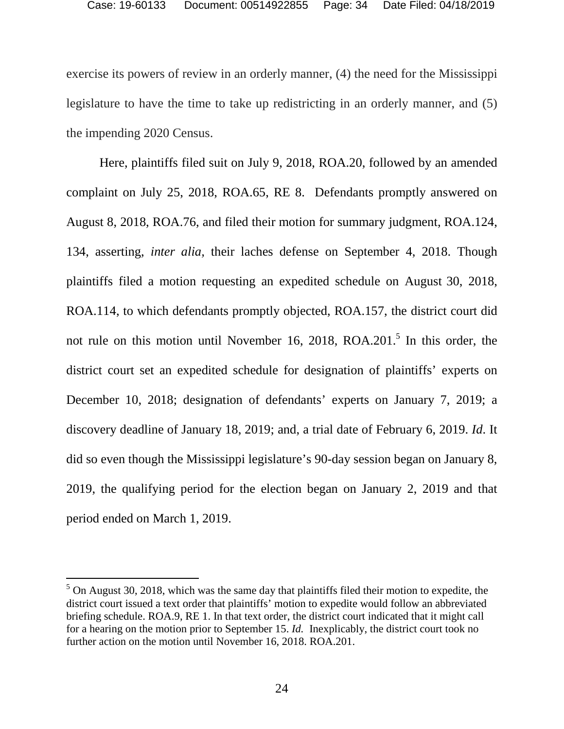exercise its powers of review in an orderly manner, (4) the need for the Mississippi legislature to have the time to take up redistricting in an orderly manner, and (5) the impending 2020 Census.

Here, plaintiffs filed suit on July 9, 2018, ROA.20, followed by an amended complaint on July 25, 2018, ROA.65, RE 8. Defendants promptly answered on August 8, 2018, ROA.76, and filed their motion for summary judgment, ROA.124, 134, asserting, *inter alia,* their laches defense on September 4, 2018. Though plaintiffs filed a motion requesting an expedited schedule on August 30, 2018, ROA.114, to which defendants promptly objected, ROA.157, the district court did notrule on this motion until November 16, 2018, ROA.201.<sup>5</sup> In this order, the district court set an expedited schedule for designation of plaintiffs' experts on December 10, 2018; designation of defendants' experts on January 7, 2019; a discovery deadline of January 18, 2019; and, a trial date of February 6, 2019. *Id*. It did so even though the Mississippi legislature's 90-day session began on January 8, 2019, the qualifying period for the election began on January 2, 2019 and that period ended on March 1, 2019.

<span id="page-33-0"></span> $<sup>5</sup>$  On August 30, 2018, which was the same day that plaintiffs filed their motion to expedite, the</sup> district court issued a text order that plaintiffs' motion to expedite would follow an abbreviated briefing schedule. ROA.9, RE 1. In that text order, the district court indicated that it might call for a hearing on the motion prior to September 15. *Id.* Inexplicably, the district court took no further action on the motion until November 16, 2018. ROA.201.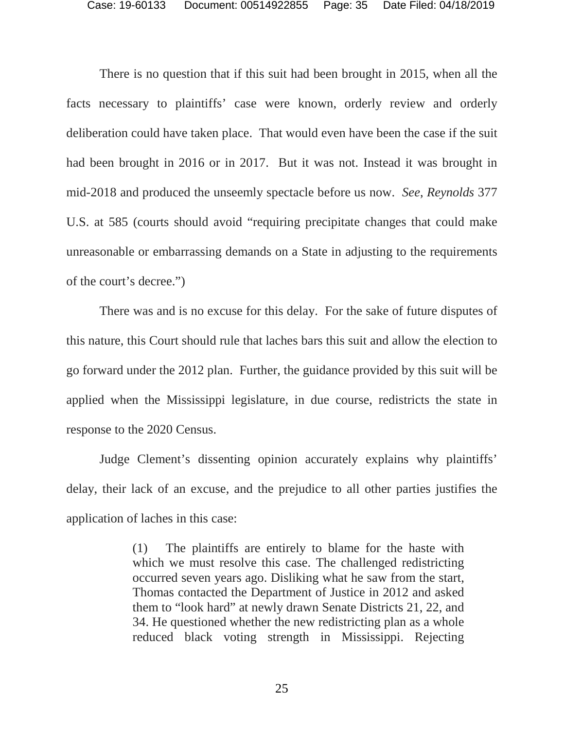There is no question that if this suit had been brought in 2015, when all the facts necessary to plaintiffs' case were known, orderly review and orderly deliberation could have taken place. That would even have been the case if the suit had been brought in 2016 or in 2017. But it was not. Instead it was brought in mid-2018 and produced the unseemly spectacle before us now. *See*, *Reynolds* 377 U.S. at 585 (courts should avoid "requiring precipitate changes that could make unreasonable or embarrassing demands on a State in adjusting to the requirements of the court's decree.")

There was and is no excuse for this delay. For the sake of future disputes of this nature, this Court should rule that laches bars this suit and allow the election to go forward under the 2012 plan. Further, the guidance provided by this suit will be applied when the Mississippi legislature, in due course, redistricts the state in response to the 2020 Census.

Judge Clement's dissenting opinion accurately explains why plaintiffs' delay, their lack of an excuse, and the prejudice to all other parties justifies the application of laches in this case:

> (1) The plaintiffs are entirely to blame for the haste with which we must resolve this case. The challenged redistricting occurred seven years ago. Disliking what he saw from the start, Thomas contacted the Department of Justice in 2012 and asked them to "look hard" at newly drawn Senate Districts 21, 22, and 34. He questioned whether the new redistricting plan as a whole reduced black voting strength in Mississippi. Rejecting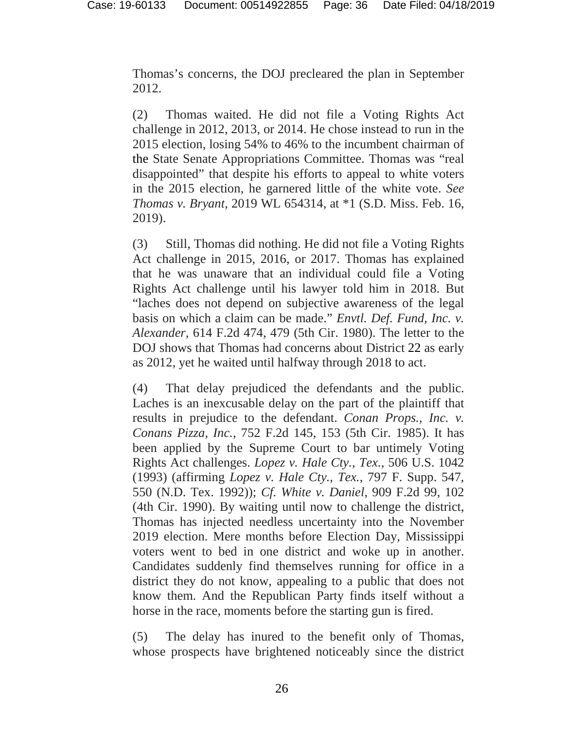Thomas's concerns, the DOJ precleared the plan in September 2012.

(2) Thomas waited. He did not file a Voting Rights Act challenge in 2012, 2013, or 2014. He chose instead to run in the 2015 election, losing 54% to 46% to the incumbent chairman of the State Senate Appropriations Committee. Thomas was "real disappointed" that despite his efforts to appeal to white voters in the 2015 election, he garnered little of the white vote. *See Thomas v. Bryant*, 2019 WL 654314, at \*1 (S.D. Miss. Feb. 16, 2019).

(3) Still, Thomas did nothing. He did not file a Voting Rights Act challenge in 2015, 2016, or 2017. Thomas has explained that he was unaware that an individual could file a Voting Rights Act challenge until his lawyer told him in 2018. But "laches does not depend on subjective awareness of the legal basis on which a claim can be made." *Envtl. Def. Fund, Inc. v. Alexander*, 614 F.2d 474, 479 (5th Cir. 1980). The letter to the DOJ shows that Thomas had concerns about District 22 as early as 2012, yet he waited until halfway through 2018 to act.

(4) That delay prejudiced the defendants and the public. Laches is an inexcusable delay on the part of the plaintiff that results in prejudice to the defendant. *Conan Props., Inc. v. Conans Pizza, Inc.*, 752 F.2d 145, 153 (5th Cir. 1985). It has been applied by the Supreme Court to bar untimely Voting Rights Act challenges. *Lopez v. Hale Cty., Tex.*, 506 U.S. 1042 (1993) (affirming *Lopez v. Hale Cty., Tex.*, 797 F. Supp. 547, 550 (N.D. Tex. 1992)); *Cf. White v. Daniel*, 909 F.2d 99, 102 (4th Cir. 1990). By waiting until now to challenge the district, Thomas has injected needless uncertainty into the November 2019 election. Mere months before Election Day, Mississippi voters went to bed in one district and woke up in another. Candidates suddenly find themselves running for office in a district they do not know, appealing to a public that does not know them. And the Republican Party finds itself without a horse in the race, moments before the starting gun is fired.

(5) The delay has inured to the benefit only of Thomas, whose prospects have brightened noticeably since the district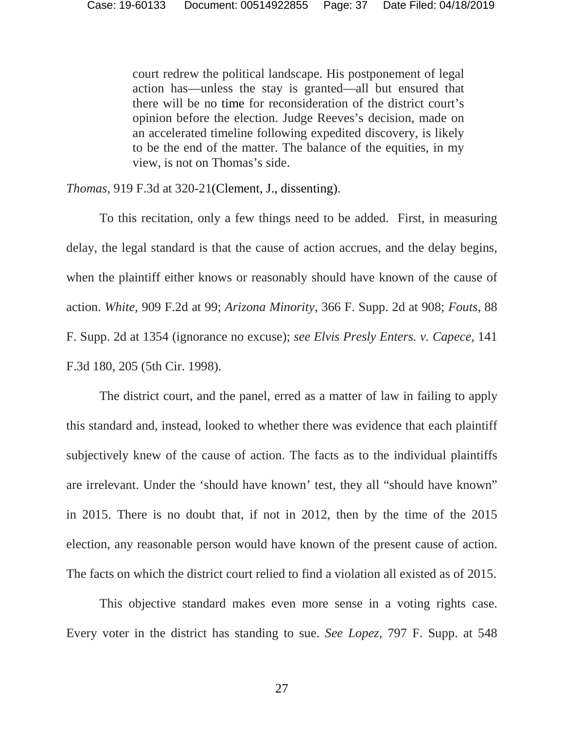court redrew the political landscape. His postponement of legal action has—unless the stay is granted—all but ensured that there will be no time for reconsideration of the district court's opinion before the election. Judge Reeves's decision, made on an accelerated timeline following expedited discovery, is likely to be the end of the matter. The balance of the equities, in my view, is not on Thomas's side.

*Thomas,* 919 F.3d at 320-21(Clement, J., dissenting).

To this recitation, only a few things need to be added. First, in measuring delay, the legal standard is that the cause of action accrues, and the delay begins, when the plaintiff either knows or reasonably should have known of the cause of action. *White*, 909 F.2d at 99; *Arizona Minority*, 366 F. Supp. 2d at 908; *Fouts*, 88 F. Supp. 2d at 1354 (ignorance no excuse); *see Elvis Presly Enters. v. Capece*, 141 F.3d 180, 205 (5th Cir. 1998).

The district court, and the panel, erred as a matter of law in failing to apply this standard and, instead, looked to whether there was evidence that each plaintiff subjectively knew of the cause of action. The facts as to the individual plaintiffs are irrelevant. Under the 'should have known' test, they all "should have known" in 2015. There is no doubt that, if not in 2012, then by the time of the 2015 election, any reasonable person would have known of the present cause of action. The facts on which the district court relied to find a violation all existed as of 2015.

This objective standard makes even more sense in a voting rights case. Every voter in the district has standing to sue. *See Lopez*, 797 F. Supp. at 548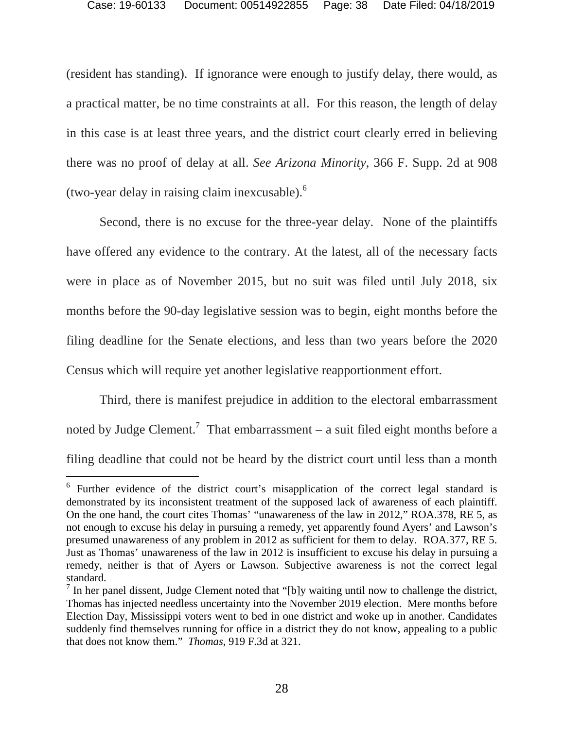(resident has standing). If ignorance were enough to justify delay, there would, as a practical matter, be no time constraints at all. For this reason, the length of delay in this case is at least three years, and the district court clearly erred in believing there was no proof of delay at all. *See Arizona Minority*, 366 F. Supp. 2d at 908 (two-year delay in raising claim inexcusable). $<sup>6</sup>$  $<sup>6</sup>$  $<sup>6</sup>$ </sup>

Second, there is no excuse for the three-year delay. None of the plaintiffs have offered any evidence to the contrary. At the latest, all of the necessary facts were in place as of November 2015, but no suit was filed until July 2018, six months before the 90-day legislative session was to begin, eight months before the filing deadline for the Senate elections, and less than two years before the 2020 Census which will require yet another legislative reapportionment effort.

Third, there is manifest prejudice in addition to the electoral embarrassment notedby Judge Clement.<sup>7</sup> That embarrassment – a suit filed eight months before a filing deadline that could not be heard by the district court until less than a month

<span id="page-37-0"></span><sup>&</sup>lt;sup>6</sup> Further evidence of the district court's misapplication of the correct legal standard is demonstrated by its inconsistent treatment of the supposed lack of awareness of each plaintiff. On the one hand, the court cites Thomas' "unawareness of the law in 2012," ROA.378, RE 5, as not enough to excuse his delay in pursuing a remedy, yet apparently found Ayers' and Lawson's presumed unawareness of any problem in 2012 as sufficient for them to delay. ROA.377, RE 5. Just as Thomas' unawareness of the law in 2012 is insufficient to excuse his delay in pursuing a remedy, neither is that of Ayers or Lawson. Subjective awareness is not the correct legal standard.

<span id="page-37-1"></span> $<sup>7</sup>$  In her panel dissent, Judge Clement noted that "[b]y waiting until now to challenge the district,</sup> Thomas has injected needless uncertainty into the November 2019 election. Mere months before Election Day, Mississippi voters went to bed in one district and woke up in another. Candidates suddenly find themselves running for office in a district they do not know, appealing to a public that does not know them." *Thomas*, 919 F.3d at 321.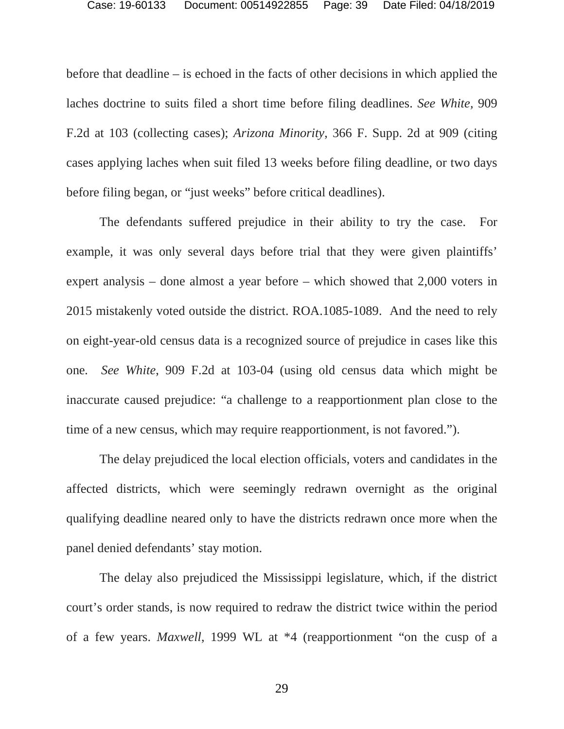before that deadline – is echoed in the facts of other decisions in which applied the laches doctrine to suits filed a short time before filing deadlines. *See White,* 909 F.2d at 103 (collecting cases); *Arizona Minority*, 366 F. Supp. 2d at 909 (citing cases applying laches when suit filed 13 weeks before filing deadline, or two days before filing began, or "just weeks" before critical deadlines).

The defendants suffered prejudice in their ability to try the case. For example, it was only several days before trial that they were given plaintiffs' expert analysis – done almost a year before – which showed that 2,000 voters in 2015 mistakenly voted outside the district. ROA.1085-1089. And the need to rely on eight-year-old census data is a recognized source of prejudice in cases like this one*. See White*, 909 F.2d at 103-04 (using old census data which might be inaccurate caused prejudice: "a challenge to a reapportionment plan close to the time of a new census, which may require reapportionment, is not favored.").

The delay prejudiced the local election officials, voters and candidates in the affected districts, which were seemingly redrawn overnight as the original qualifying deadline neared only to have the districts redrawn once more when the panel denied defendants' stay motion.

The delay also prejudiced the Mississippi legislature, which, if the district court's order stands, is now required to redraw the district twice within the period of a few years. *Maxwell*, 1999 WL at \*4 (reapportionment "on the cusp of a

29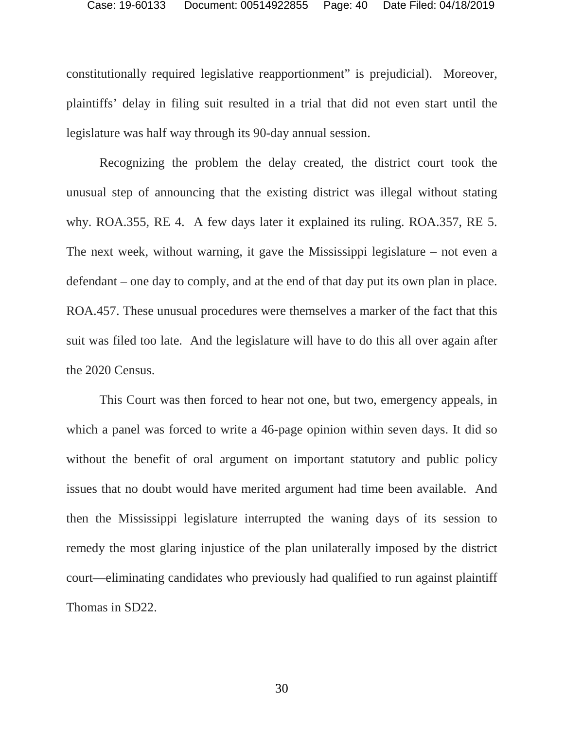constitutionally required legislative reapportionment" is prejudicial). Moreover, plaintiffs' delay in filing suit resulted in a trial that did not even start until the legislature was half way through its 90-day annual session.

Recognizing the problem the delay created, the district court took the unusual step of announcing that the existing district was illegal without stating why. ROA.355, RE 4. A few days later it explained its ruling. ROA.357, RE 5. The next week, without warning, it gave the Mississippi legislature – not even a defendant – one day to comply, and at the end of that day put its own plan in place. ROA.457. These unusual procedures were themselves a marker of the fact that this suit was filed too late. And the legislature will have to do this all over again after the 2020 Census.

This Court was then forced to hear not one, but two, emergency appeals, in which a panel was forced to write a 46-page opinion within seven days. It did so without the benefit of oral argument on important statutory and public policy issues that no doubt would have merited argument had time been available. And then the Mississippi legislature interrupted the waning days of its session to remedy the most glaring injustice of the plan unilaterally imposed by the district court—eliminating candidates who previously had qualified to run against plaintiff Thomas in SD22.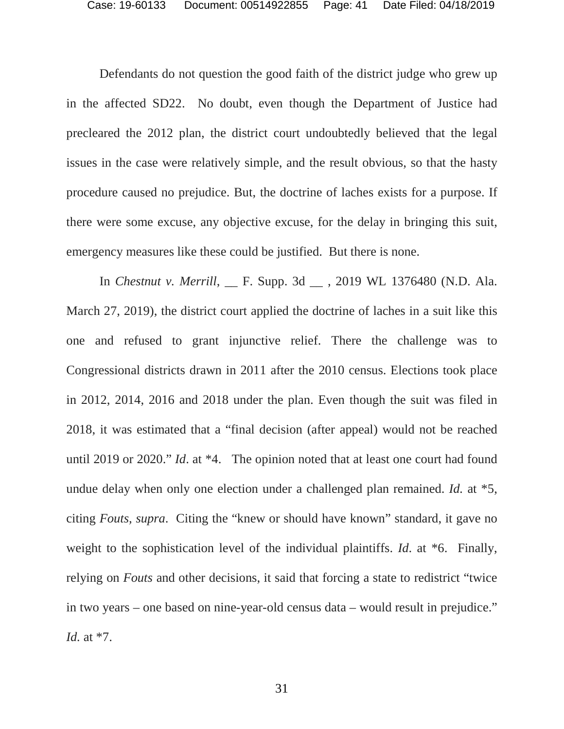Defendants do not question the good faith of the district judge who grew up in the affected SD22. No doubt, even though the Department of Justice had precleared the 2012 plan, the district court undoubtedly believed that the legal issues in the case were relatively simple, and the result obvious, so that the hasty procedure caused no prejudice. But, the doctrine of laches exists for a purpose. If there were some excuse, any objective excuse, for the delay in bringing this suit, emergency measures like these could be justified. But there is none.

In *Chestnut v. Merrill*, \_\_ F. Supp. 3d \_\_ , 2019 WL 1376480 (N.D. Ala. March 27, 2019), the district court applied the doctrine of laches in a suit like this one and refused to grant injunctive relief. There the challenge was to Congressional districts drawn in 2011 after the 2010 census. Elections took place in 2012, 2014, 2016 and 2018 under the plan. Even though the suit was filed in 2018, it was estimated that a "final decision (after appeal) would not be reached until 2019 or 2020." *Id*. at \*4. The opinion noted that at least one court had found undue delay when only one election under a challenged plan remained. *Id.* at \*5, citing *Fouts, supra*. Citing the "knew or should have known" standard, it gave no weight to the sophistication level of the individual plaintiffs. *Id*. at \*6. Finally, relying on *Fouts* and other decisions, it said that forcing a state to redistrict "twice in two years – one based on nine-year-old census data – would result in prejudice." *Id.* at \*7.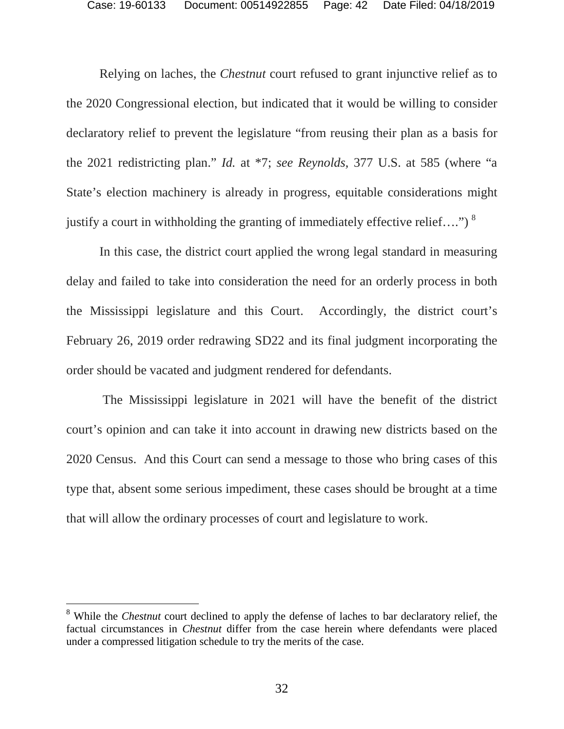Relying on laches, the *Chestnut* court refused to grant injunctive relief as to the 2020 Congressional election, but indicated that it would be willing to consider declaratory relief to prevent the legislature "from reusing their plan as a basis for the 2021 redistricting plan." *Id.* at \*7; *see Reynolds,* 377 U.S. at 585 (where "a State's election machinery is already in progress, equitable considerations might justify a court in withholding the granting of immediately effective relief....")  $8$ 

In this case, the district court applied the wrong legal standard in measuring delay and failed to take into consideration the need for an orderly process in both the Mississippi legislature and this Court. Accordingly, the district court's February 26, 2019 order redrawing SD22 and its final judgment incorporating the order should be vacated and judgment rendered for defendants.

 The Mississippi legislature in 2021 will have the benefit of the district court's opinion and can take it into account in drawing new districts based on the 2020 Census. And this Court can send a message to those who bring cases of this type that, absent some serious impediment, these cases should be brought at a time that will allow the ordinary processes of court and legislature to work.

<span id="page-41-0"></span><sup>&</sup>lt;sup>8</sup> While the *Chestnut* court declined to apply the defense of laches to bar declaratory relief, the factual circumstances in *Chestnut* differ from the case herein where defendants were placed under a compressed litigation schedule to try the merits of the case.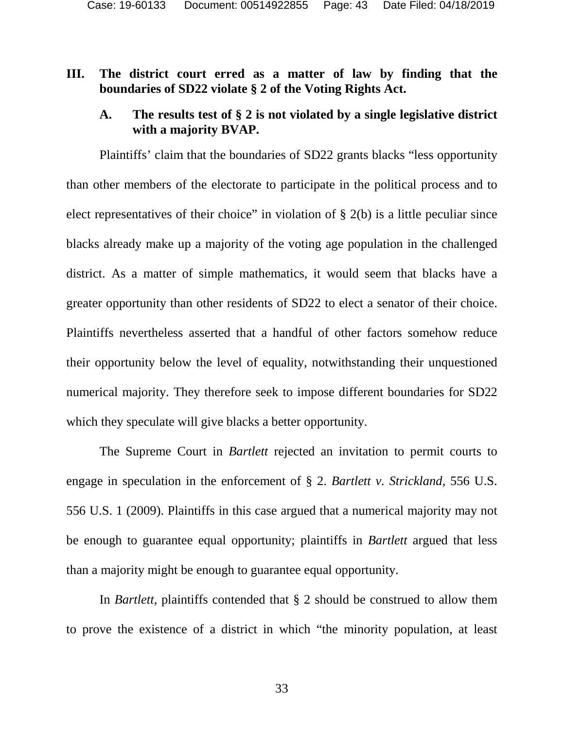# <span id="page-42-0"></span>**III. The district court erred as a matter of law by finding that the boundaries of SD22 violate § 2 of the Voting Rights Act.**

# <span id="page-42-1"></span>**A. The results test of § 2 is not violated by a single legislative district with a majority BVAP.**

Plaintiffs' claim that the boundaries of SD22 grants blacks "less opportunity than other members of the electorate to participate in the political process and to elect representatives of their choice" in violation of  $\S$  2(b) is a little peculiar since blacks already make up a majority of the voting age population in the challenged district. As a matter of simple mathematics, it would seem that blacks have a greater opportunity than other residents of SD22 to elect a senator of their choice. Plaintiffs nevertheless asserted that a handful of other factors somehow reduce their opportunity below the level of equality, notwithstanding their unquestioned numerical majority. They therefore seek to impose different boundaries for SD22 which they speculate will give blacks a better opportunity.

The Supreme Court in *Bartlett* rejected an invitation to permit courts to engage in speculation in the enforcement of § 2. *Bartlett v. Strickland*, 556 U.S. 556 U.S. 1 (2009). Plaintiffs in this case argued that a numerical majority may not be enough to guarantee equal opportunity; plaintiffs in *Bartlett* argued that less than a majority might be enough to guarantee equal opportunity.

In *Bartlett*, plaintiffs contended that § 2 should be construed to allow them to prove the existence of a district in which "the minority population, at least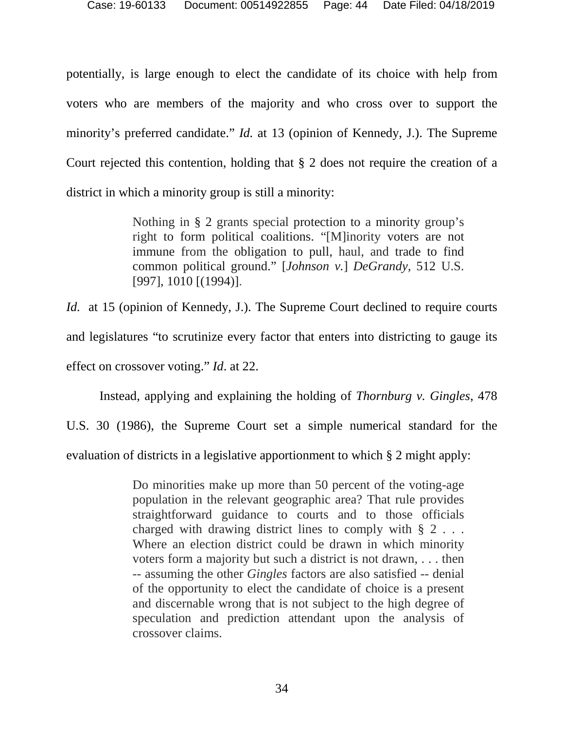potentially, is large enough to elect the candidate of its choice with help from voters who are members of the majority and who cross over to support the minority's preferred candidate." *Id.* at 13 (opinion of Kennedy, J.). The Supreme Court rejected this contention, holding that § 2 does not require the creation of a district in which a minority group is still a minority:

> Nothing in § 2 grants special protection to a minority group's right to form political coalitions. "[M]inority voters are not immune from the obligation to pull, haul, and trade to find common political ground." [*Johnson v.*] *DeGrandy,* 512 U.S. [997], 1010 [(1994)].

*Id.* at 15 (opinion of Kennedy, J.). The Supreme Court declined to require courts and legislatures "to scrutinize every factor that enters into districting to gauge its effect on crossover voting." *Id*. at 22.

Instead, applying and explaining the holding of *Thornburg v. Gingles*, 478 U.S. 30 (1986), the Supreme Court set a simple numerical standard for the evaluation of districts in a legislative apportionment to which § 2 might apply:

> Do minorities make up more than 50 percent of the voting-age population in the relevant geographic area? That rule provides straightforward guidance to courts and to those officials charged with drawing district lines to comply with § 2 . . . Where an election district could be drawn in which minority voters form a majority but such a district is not drawn, . . . then -- assuming the other *Gingles* factors are also satisfied -- denial of the opportunity to elect the candidate of choice is a present and discernable wrong that is not subject to the high degree of speculation and prediction attendant upon the analysis of crossover claims.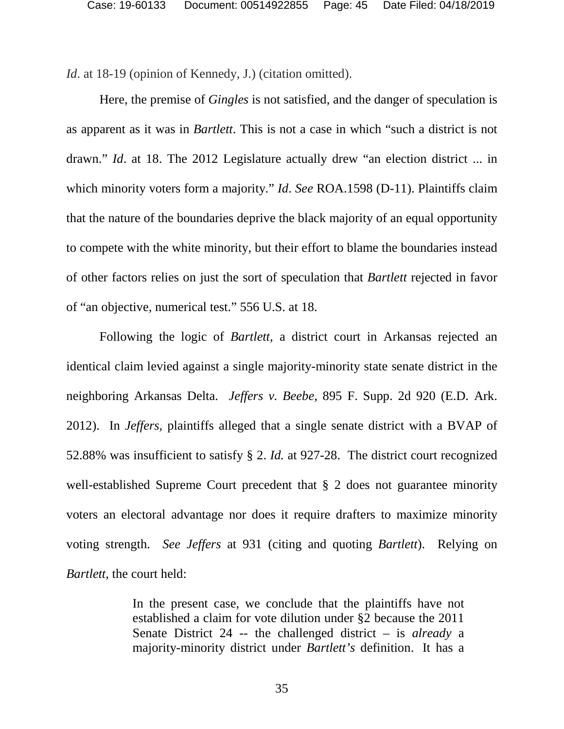*Id.* at 18-19 (opinion of Kennedy, J.) (citation omitted).

Here, the premise of *Gingles* is not satisfied, and the danger of speculation is as apparent as it was in *Bartlett*. This is not a case in which "such a district is not drawn." *Id*. at 18. The 2012 Legislature actually drew "an election district ... in which minority voters form a majority." *Id. See* ROA.1598 (D-11). Plaintiffs claim that the nature of the boundaries deprive the black majority of an equal opportunity to compete with the white minority, but their effort to blame the boundaries instead of other factors relies on just the sort of speculation that *Bartlett* rejected in favor of "an objective, numerical test." 556 U.S. at 18.

Following the logic of *Bartlett,* a district court in Arkansas rejected an identical claim levied against a single majority-minority state senate district in the neighboring Arkansas Delta. *Jeffers v. Beebe,* 895 F. Supp. 2d 920 (E.D. Ark. 2012). In *Jeffers,* plaintiffs alleged that a single senate district with a BVAP of 52.88% was insufficient to satisfy § 2. *Id.* at 927-28. The district court recognized well-established Supreme Court precedent that § 2 does not guarantee minority voters an electoral advantage nor does it require drafters to maximize minority voting strength. *See Jeffers* at 931 (citing and quoting *Bartlett*). Relying on *Bartlett,* the court held:

> In the present case, we conclude that the plaintiffs have not established a claim for vote dilution under §2 because the 2011 Senate District 24 -- the challenged district – is *already* a majority-minority district under *Bartlett's* definition. It has a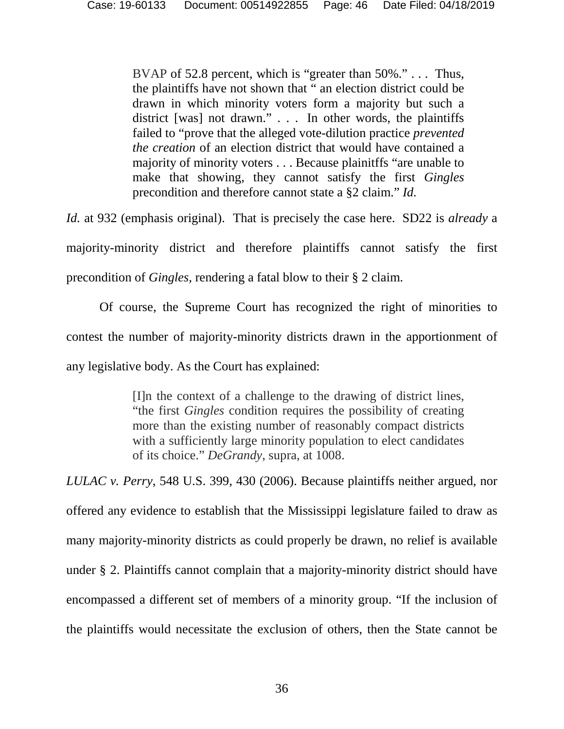BVAP of 52.8 percent, which is "greater than 50%."... Thus, the plaintiffs have not shown that " an election district could be drawn in which minority voters form a majority but such a district [was] not drawn." . . . In other words, the plaintiffs failed to "prove that the alleged vote-dilution practice *prevented the creation* of an election district that would have contained a majority of minority voters . . . Because plainitffs "are unable to make that showing, they cannot satisfy the first *Gingles* precondition and therefore cannot state a §2 claim." *Id.* 

*Id.* at 932 (emphasis original). That is precisely the case here. SD22 is *already* a

majority-minority district and therefore plaintiffs cannot satisfy the first precondition of *Gingles,* rendering a fatal blow to their § 2 claim.

Of course, the Supreme Court has recognized the right of minorities to contest the number of majority-minority districts drawn in the apportionment of any legislative body. As the Court has explained:

> [I]n the context of a challenge to the drawing of district lines, "the first *Gingles* condition requires the possibility of creating more than the existing number of reasonably compact districts with a sufficiently large minority population to elect candidates of its choice." *DeGrandy*, supra, at 1008.

*LULAC v. Perry*, 548 U.S. 399, 430 (2006). Because plaintiffs neither argued, nor offered any evidence to establish that the Mississippi legislature failed to draw as many majority-minority districts as could properly be drawn, no relief is available under § 2. Plaintiffs cannot complain that a majority-minority district should have encompassed a different set of members of a minority group. "If the inclusion of the plaintiffs would necessitate the exclusion of others, then the State cannot be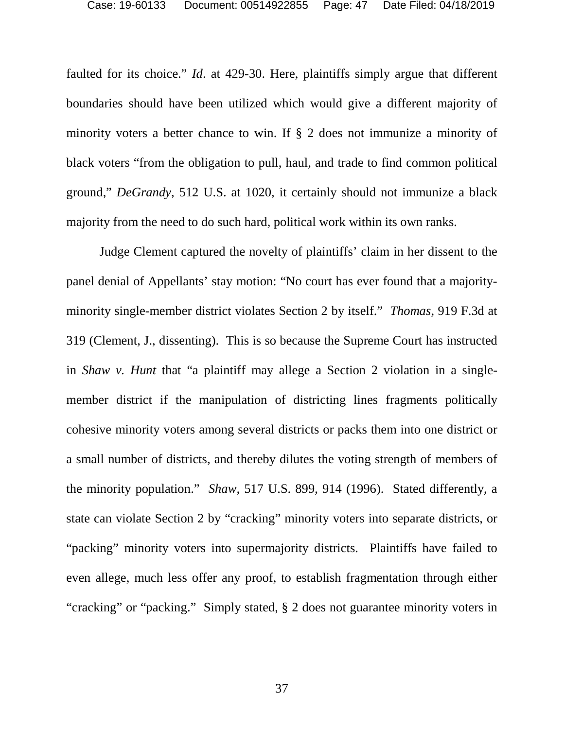faulted for its choice." *Id*. at 429-30. Here, plaintiffs simply argue that different boundaries should have been utilized which would give a different majority of minority voters a better chance to win. If § 2 does not immunize a minority of black voters "from the obligation to pull, haul, and trade to find common political ground," *DeGrandy*, 512 U.S. at 1020, it certainly should not immunize a black majority from the need to do such hard, political work within its own ranks.

Judge Clement captured the novelty of plaintiffs' claim in her dissent to the panel denial of Appellants' stay motion: "No court has ever found that a majorityminority single-member district violates Section 2 by itself." *Thomas*, 919 F.3d at 319 (Clement, J., dissenting). This is so because the Supreme Court has instructed in *Shaw v. Hunt* that "a plaintiff may allege a Section 2 violation in a singlemember district if the manipulation of districting lines fragments politically cohesive minority voters among several districts or packs them into one district or a small number of districts, and thereby dilutes the voting strength of members of the minority population." *Shaw,* 517 U.S. 899, 914 (1996). Stated differently, a state can violate Section 2 by "cracking" minority voters into separate districts, or "packing" minority voters into supermajority districts. Plaintiffs have failed to even allege, much less offer any proof, to establish fragmentation through either "cracking" or "packing." Simply stated, § 2 does not guarantee minority voters in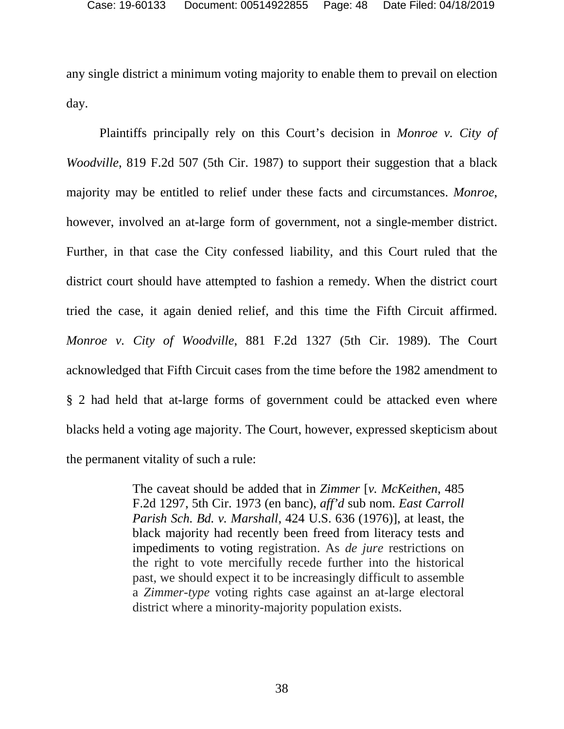any single district a minimum voting majority to enable them to prevail on election day.

Plaintiffs principally rely on this Court's decision in *Monroe v. City of Woodville*, 819 F.2d 507 (5th Cir. 1987) to support their suggestion that a black majority may be entitled to relief under these facts and circumstances. *Monroe*, however, involved an at-large form of government, not a single-member district. Further, in that case the City confessed liability, and this Court ruled that the district court should have attempted to fashion a remedy. When the district court tried the case, it again denied relief, and this time the Fifth Circuit affirmed. *Monroe v. City of Woodville*, 881 F.2d 1327 (5th Cir. 1989). The Court acknowledged that Fifth Circuit cases from the time before the 1982 amendment to § 2 had held that at-large forms of government could be attacked even where blacks held a voting age majority. The Court, however, expressed skepticism about the permanent vitality of such a rule:

> The caveat should be added that in *Zimmer* [*v. McKeithen*, 485 F.2d 1297, 5th Cir. 1973 (en banc), *aff'd* sub nom. *East Carroll Parish Sch. Bd. v. Marshall*, 424 U.S. 636 (1976)], at least, the black majority had recently been freed from literacy tests and impediments to voting registration. As *de jure* restrictions on the right to vote mercifully recede further into the historical past, we should expect it to be increasingly difficult to assemble a *Zimmer-type* voting rights case against an at-large electoral district where a minority-majority population exists.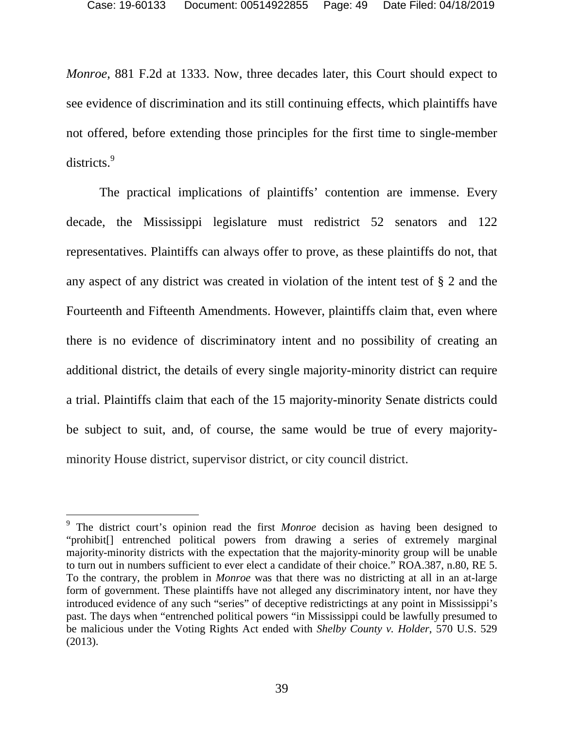*Monroe*, 881 F.2d at 1333. Now, three decades later, this Court should expect to see evidence of discrimination and its still continuing effects, which plaintiffs have not offered, before extending those principles for the first time to single-member districts.<sup>[9](#page-48-0)</sup>

The practical implications of plaintiffs' contention are immense. Every decade, the Mississippi legislature must redistrict 52 senators and 122 representatives. Plaintiffs can always offer to prove, as these plaintiffs do not, that any aspect of any district was created in violation of the intent test of § 2 and the Fourteenth and Fifteenth Amendments. However, plaintiffs claim that, even where there is no evidence of discriminatory intent and no possibility of creating an additional district, the details of every single majority-minority district can require a trial. Plaintiffs claim that each of the 15 majority-minority Senate districts could be subject to suit, and, of course, the same would be true of every majorityminority House district, supervisor district, or city council district.

<span id="page-48-0"></span><sup>&</sup>lt;sup>9</sup> The district court's opinion read the first *Monroe* decision as having been designed to "prohibit[] entrenched political powers from drawing a series of extremely marginal majority-minority districts with the expectation that the majority-minority group will be unable to turn out in numbers sufficient to ever elect a candidate of their choice." ROA.387, n.80, RE 5. To the contrary, the problem in *Monroe* was that there was no districting at all in an at-large form of government. These plaintiffs have not alleged any discriminatory intent, nor have they introduced evidence of any such "series" of deceptive redistrictings at any point in Mississippi's past. The days when "entrenched political powers "in Mississippi could be lawfully presumed to be malicious under the Voting Rights Act ended with *Shelby County v. Holder*, 570 U.S. 529 (2013).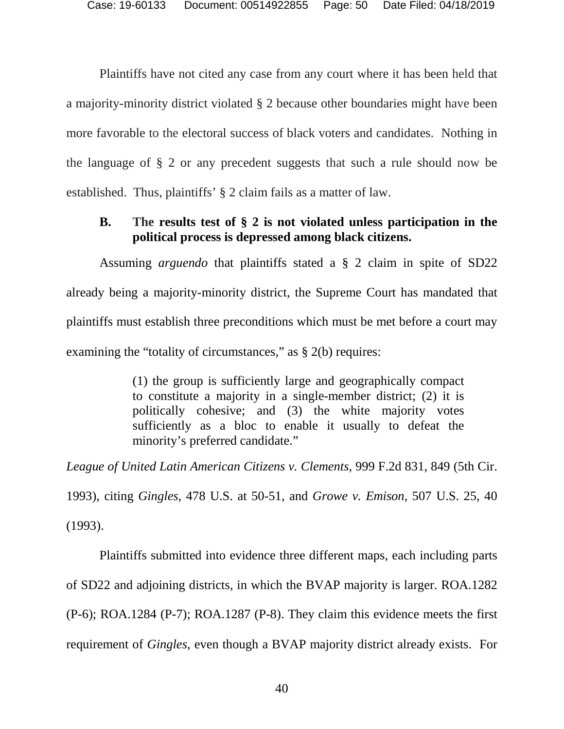Plaintiffs have not cited any case from any court where it has been held that a majority-minority district violated § 2 because other boundaries might have been more favorable to the electoral success of black voters and candidates. Nothing in the language of § 2 or any precedent suggests that such a rule should now be established. Thus, plaintiffs' § 2 claim fails as a matter of law.

# <span id="page-49-0"></span>**B. The results test of § 2 is not violated unless participation in the political process is depressed among black citizens.**

Assuming *arguendo* that plaintiffs stated a § 2 claim in spite of SD22 already being a majority-minority district, the Supreme Court has mandated that plaintiffs must establish three preconditions which must be met before a court may examining the "totality of circumstances," as § 2(b) requires:

> (1) the group is sufficiently large and geographically compact to constitute a majority in a single-member district; (2) it is politically cohesive; and (3) the white majority votes sufficiently as a bloc to enable it usually to defeat the minority's preferred candidate."

*League of United Latin American Citizens v. Clements*, 999 F.2d 831, 849 (5th Cir. 1993), citing *Gingles*, 478 U.S. at 50-51, and *Growe v. Emison*, 507 U.S. 25, 40 (1993).

Plaintiffs submitted into evidence three different maps, each including parts of SD22 and adjoining districts, in which the BVAP majority is larger. ROA.1282 (P-6); ROA.1284 (P-7); ROA.1287 (P-8). They claim this evidence meets the first requirement of *Gingles*, even though a BVAP majority district already exists. For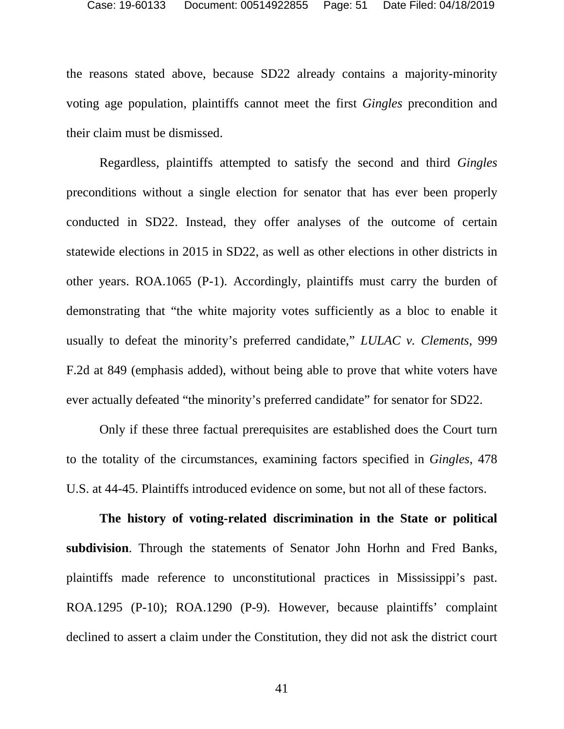the reasons stated above, because SD22 already contains a majority-minority voting age population, plaintiffs cannot meet the first *Gingles* precondition and their claim must be dismissed.

Regardless, plaintiffs attempted to satisfy the second and third *Gingles* preconditions without a single election for senator that has ever been properly conducted in SD22. Instead, they offer analyses of the outcome of certain statewide elections in 2015 in SD22, as well as other elections in other districts in other years. ROA.1065 (P-1). Accordingly, plaintiffs must carry the burden of demonstrating that "the white majority votes sufficiently as a bloc to enable it usually to defeat the minority's preferred candidate," *LULAC v. Clements*, 999 F.2d at 849 (emphasis added), without being able to prove that white voters have ever actually defeated "the minority's preferred candidate" for senator for SD22.

Only if these three factual prerequisites are established does the Court turn to the totality of the circumstances, examining factors specified in *Gingles*, 478 U.S. at 44-45. Plaintiffs introduced evidence on some, but not all of these factors.

**The history of voting-related discrimination in the State or political subdivision**. Through the statements of Senator John Horhn and Fred Banks, plaintiffs made reference to unconstitutional practices in Mississippi's past. ROA.1295 (P-10); ROA.1290 (P-9). However, because plaintiffs' complaint declined to assert a claim under the Constitution, they did not ask the district court

41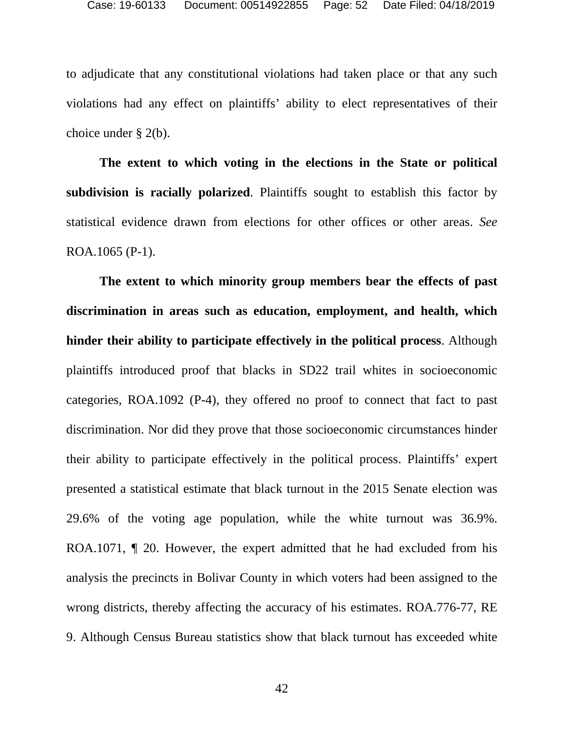to adjudicate that any constitutional violations had taken place or that any such violations had any effect on plaintiffs' ability to elect representatives of their choice under § 2(b).

**The extent to which voting in the elections in the State or political subdivision is racially polarized**. Plaintiffs sought to establish this factor by statistical evidence drawn from elections for other offices or other areas. *See* ROA.1065 (P-1).

**The extent to which minority group members bear the effects of past discrimination in areas such as education, employment, and health, which hinder their ability to participate effectively in the political process**. Although plaintiffs introduced proof that blacks in SD22 trail whites in socioeconomic categories, ROA.1092 (P-4), they offered no proof to connect that fact to past discrimination. Nor did they prove that those socioeconomic circumstances hinder their ability to participate effectively in the political process. Plaintiffs' expert presented a statistical estimate that black turnout in the 2015 Senate election was 29.6% of the voting age population, while the white turnout was 36.9%. ROA.1071, ¶ 20. However, the expert admitted that he had excluded from his analysis the precincts in Bolivar County in which voters had been assigned to the wrong districts, thereby affecting the accuracy of his estimates. ROA.776-77, RE 9. Although Census Bureau statistics show that black turnout has exceeded white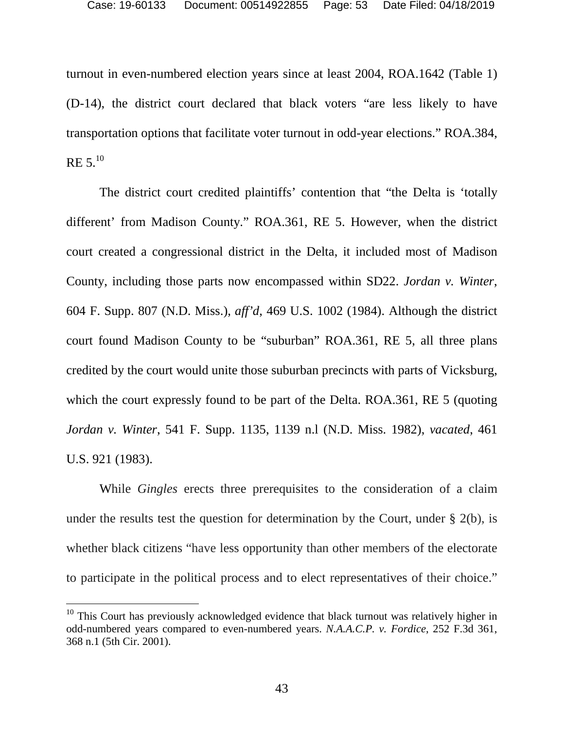turnout in even-numbered election years since at least 2004, ROA.1642 (Table 1) (D-14), the district court declared that black voters "are less likely to have transportation options that facilitate voter turnout in odd-year elections." ROA.384,  $RE 5.10$  $RE 5.10$ 

The district court credited plaintiffs' contention that "the Delta is 'totally different' from Madison County." ROA.361, RE 5. However, when the district court created a congressional district in the Delta, it included most of Madison County, including those parts now encompassed within SD22. *Jordan v. Winter*, 604 F. Supp. 807 (N.D. Miss.), *aff'd*, 469 U.S. 1002 (1984). Although the district court found Madison County to be "suburban" ROA.361, RE 5, all three plans credited by the court would unite those suburban precincts with parts of Vicksburg, which the court expressly found to be part of the Delta. ROA.361, RE 5 (quoting *Jordan v. Winter*, 541 F. Supp. 1135, 1139 n.l (N.D. Miss. 1982), *vacated*, 461 U.S. 921 (1983).

While *Gingles* erects three prerequisites to the consideration of a claim under the results test the question for determination by the Court, under  $\S$  2(b), is whether black citizens "have less opportunity than other members of the electorate to participate in the political process and to elect representatives of their choice."

<span id="page-52-0"></span> $10$  This Court has previously acknowledged evidence that black turnout was relatively higher in odd-numbered years compared to even-numbered years. *N.A.A.C.P. v. Fordice*, 252 F.3d 361, 368 n.1 (5th Cir. 2001).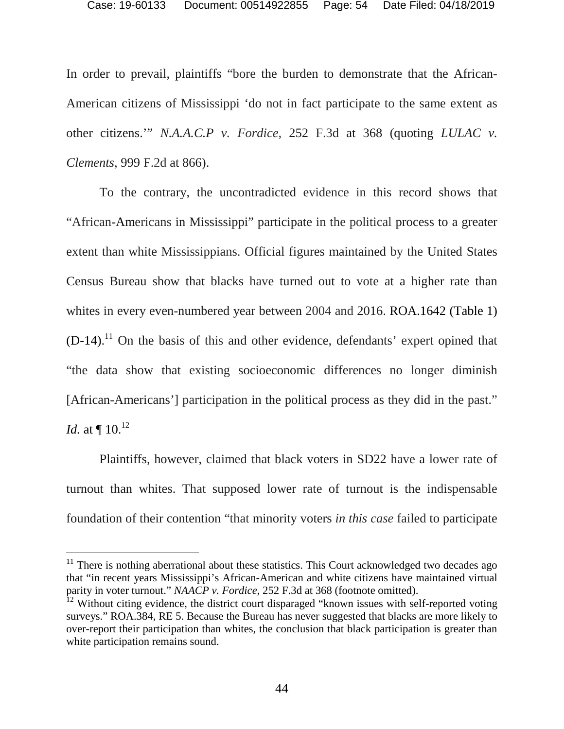In order to prevail, plaintiffs "bore the burden to demonstrate that the African-American citizens of Mississippi 'do not in fact participate to the same extent as other citizens.'" *N.A.A.C.P v. Fordice,* 252 F.3d at 368 (quoting *LULAC v. Clements,* 999 F.2d at 866).

To the contrary, the uncontradicted evidence in this record shows that "African-Americans in Mississippi" participate in the political process to a greater extent than white Mississippians. Official figures maintained by the United States Census Bureau show that blacks have turned out to vote at a higher rate than whites in every even-numbered year between 2004 and 2016. ROA.1642 (Table 1)  $(D-14)$ .<sup>[11](#page-53-0)</sup> On the basis of this and other evidence, defendants' expert opined that "the data show that existing socioeconomic differences no longer diminish [African-Americans'] participation in the political process as they did in the past." *Id.* at  $\P$  10.<sup>[12](#page-53-1)</sup>

Plaintiffs, however, claimed that black voters in SD22 have a lower rate of turnout than whites. That supposed lower rate of turnout is the indispensable foundation of their contention "that minority voters *in this case* failed to participate

<span id="page-53-0"></span> $11$  There is nothing aberrational about these statistics. This Court acknowledged two decades ago that "in recent years Mississippi's African-American and white citizens have maintained virtual parity in voter turnout." *NAACP v. Fordice*, 252 F.3d at 368 (footnote omitted).

<span id="page-53-1"></span><sup>&</sup>lt;sup>12</sup> Without citing evidence, the district court disparaged "known issues with self-reported voting surveys." ROA.384, RE 5. Because the Bureau has never suggested that blacks are more likely to over-report their participation than whites, the conclusion that black participation is greater than white participation remains sound.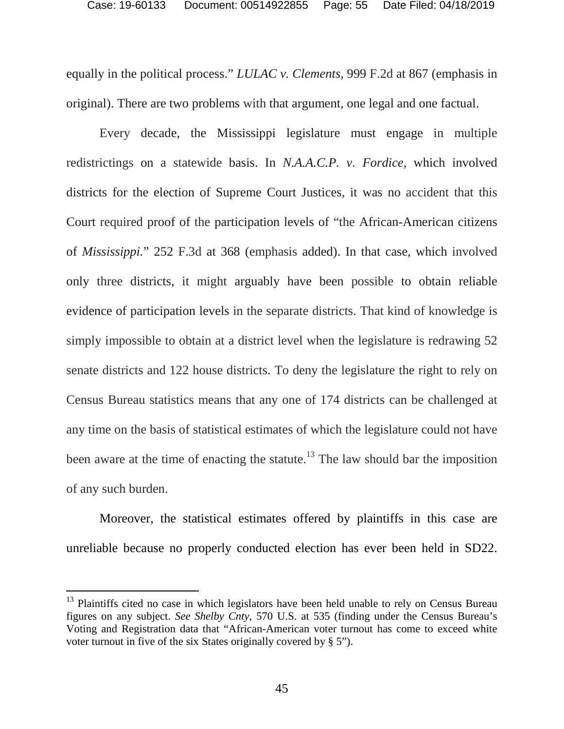equally in the political process." *LULAC v. Clements,* 999 F.2d at 867 (emphasis in original). There are two problems with that argument, one legal and one factual.

Every decade, the Mississippi legislature must engage in multiple redistrictings on a statewide basis. In *N.A.A.C.P. v. Fordice,* which involved districts for the election of Supreme Court Justices, it was no accident that this Court required proof of the participation levels of "the African-American citizens of *Mississippi.*" 252 F.3d at 368 (emphasis added). In that case, which involved only three districts, it might arguably have been possible to obtain reliable evidence of participation levels in the separate districts. That kind of knowledge is simply impossible to obtain at a district level when the legislature is redrawing 52 senate districts and 122 house districts. To deny the legislature the right to rely on Census Bureau statistics means that any one of 174 districts can be challenged at any time on the basis of statistical estimates of which the legislature could not have been aware at the time of enacting the statute.<sup>[13](#page-54-0)</sup> The law should bar the imposition of any such burden.

Moreover, the statistical estimates offered by plaintiffs in this case are unreliable because no properly conducted election has ever been held in SD22.

<span id="page-54-0"></span> $13$  Plaintiffs cited no case in which legislators have been held unable to rely on Census Bureau figures on any subject. *See Shelby Cnty*, 570 U.S. at 535 (finding under the Census Bureau's Voting and Registration data that "African-American voter turnout has come to exceed white voter turnout in five of the six States originally covered by § 5").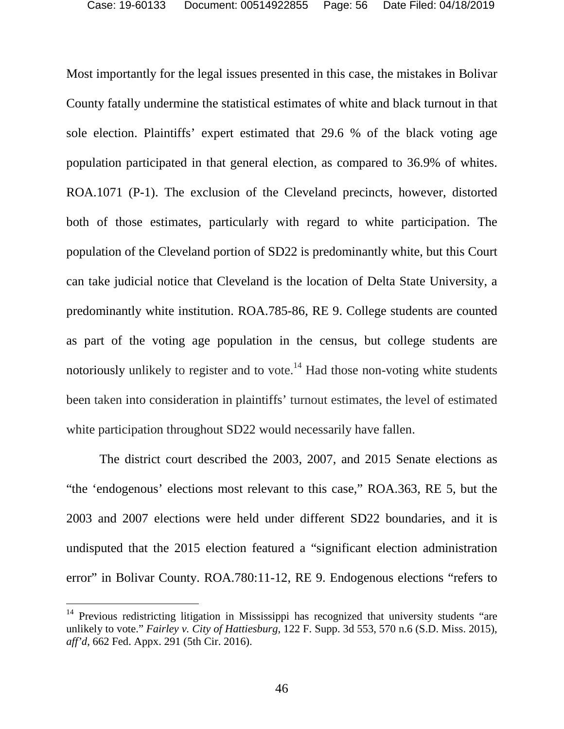Most importantly for the legal issues presented in this case, the mistakes in Bolivar County fatally undermine the statistical estimates of white and black turnout in that sole election. Plaintiffs' expert estimated that 29.6 % of the black voting age population participated in that general election, as compared to 36.9% of whites. ROA.1071 (P-1). The exclusion of the Cleveland precincts, however, distorted both of those estimates, particularly with regard to white participation. The population of the Cleveland portion of SD22 is predominantly white, but this Court can take judicial notice that Cleveland is the location of Delta State University, a predominantly white institution. ROA.785-86, RE 9. College students are counted as part of the voting age population in the census, but college students are notoriously unlikely to register and to vote.<sup>[14](#page-55-0)</sup> Had those non-voting white students been taken into consideration in plaintiffs' turnout estimates, the level of estimated white participation throughout SD22 would necessarily have fallen.

The district court described the 2003, 2007, and 2015 Senate elections as "the 'endogenous' elections most relevant to this case," ROA.363, RE 5, but the 2003 and 2007 elections were held under different SD22 boundaries, and it is undisputed that the 2015 election featured a "significant election administration error" in Bolivar County. ROA.780:11-12, RE 9. Endogenous elections "refers to

<span id="page-55-0"></span><sup>&</sup>lt;sup>14</sup> Previous redistricting litigation in Mississippi has recognized that university students "are unlikely to vote." *Fairley v. City of Hattiesburg*, 122 F. Supp. 3d 553, 570 n.6 (S.D. Miss. 2015), *aff'd*, 662 Fed. Appx. 291 (5th Cir. 2016).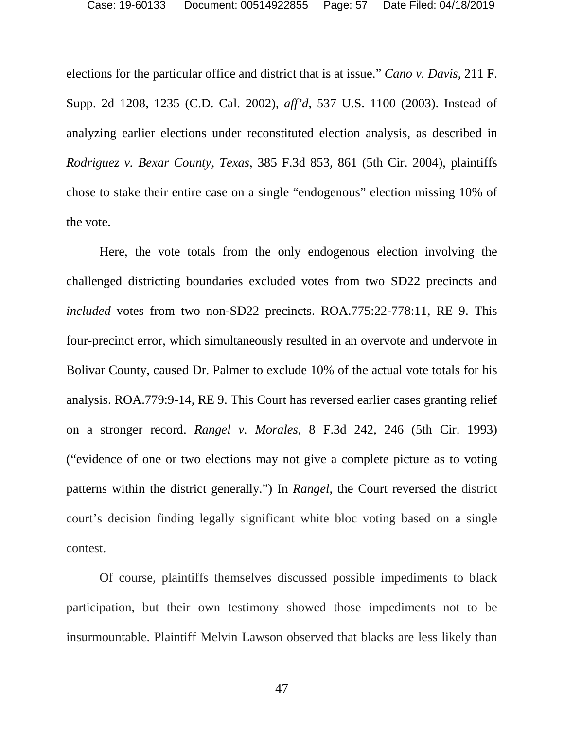elections for the particular office and district that is at issue." *Cano v. Davis*, 211 F. Supp. 2d 1208, 1235 (C.D. Cal. 2002), *aff'd*, 537 U.S. 1100 (2003). Instead of analyzing earlier elections under reconstituted election analysis, as described in *Rodriguez v. Bexar County, Texas*, 385 F.3d 853, 861 (5th Cir. 2004), plaintiffs chose to stake their entire case on a single "endogenous" election missing 10% of the vote.

Here, the vote totals from the only endogenous election involving the challenged districting boundaries excluded votes from two SD22 precincts and *included* votes from two non-SD22 precincts. ROA.775:22-778:11, RE 9. This four-precinct error, which simultaneously resulted in an overvote and undervote in Bolivar County, caused Dr. Palmer to exclude 10% of the actual vote totals for his analysis. ROA.779:9-14, RE 9. This Court has reversed earlier cases granting relief on a stronger record. *Rangel v. Morales*, 8 F.3d 242, 246 (5th Cir. 1993) ("evidence of one or two elections may not give a complete picture as to voting patterns within the district generally.") In *Rangel*, the Court reversed the district court's decision finding legally significant white bloc voting based on a single contest.

Of course, plaintiffs themselves discussed possible impediments to black participation, but their own testimony showed those impediments not to be insurmountable. Plaintiff Melvin Lawson observed that blacks are less likely than

47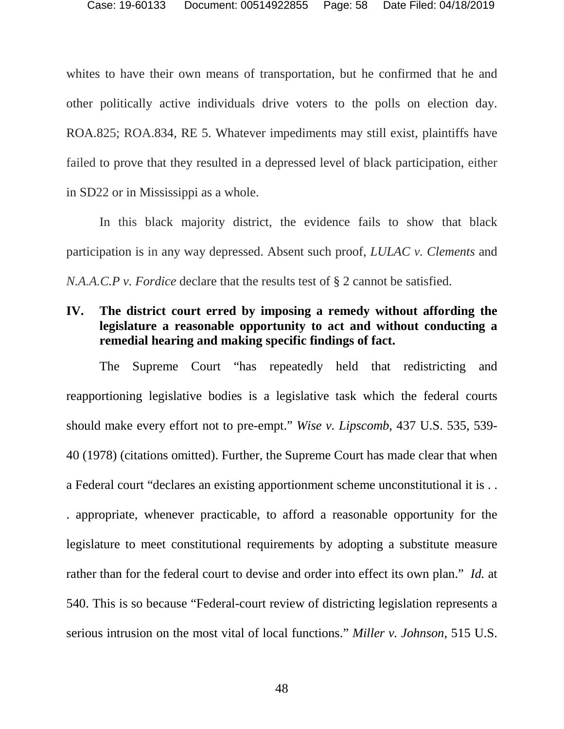whites to have their own means of transportation, but he confirmed that he and other politically active individuals drive voters to the polls on election day. ROA.825; ROA.834, RE 5. Whatever impediments may still exist, plaintiffs have failed to prove that they resulted in a depressed level of black participation, either in SD22 or in Mississippi as a whole.

In this black majority district, the evidence fails to show that black participation is in any way depressed. Absent such proof, *LULAC v. Clements* and *N.A.A.C.P v. Fordice* declare that the results test of § 2 cannot be satisfied.

# <span id="page-57-0"></span>**IV. The district court erred by imposing a remedy without affording the legislature a reasonable opportunity to act and without conducting a remedial hearing and making specific findings of fact.**

The Supreme Court "has repeatedly held that redistricting and reapportioning legislative bodies is a legislative task which the federal courts should make every effort not to pre-empt." *Wise v. Lipscomb*, 437 U.S. 535, 539- 40 (1978) (citations omitted). Further, the Supreme Court has made clear that when a Federal court "declares an existing apportionment scheme unconstitutional it is . . . appropriate, whenever practicable, to afford a reasonable opportunity for the legislature to meet constitutional requirements by adopting a substitute measure rather than for the federal court to devise and order into effect its own plan." *Id.* at 540. This is so because "Federal-court review of districting legislation represents a serious intrusion on the most vital of local functions." *Miller v. Johnson*, 515 U.S.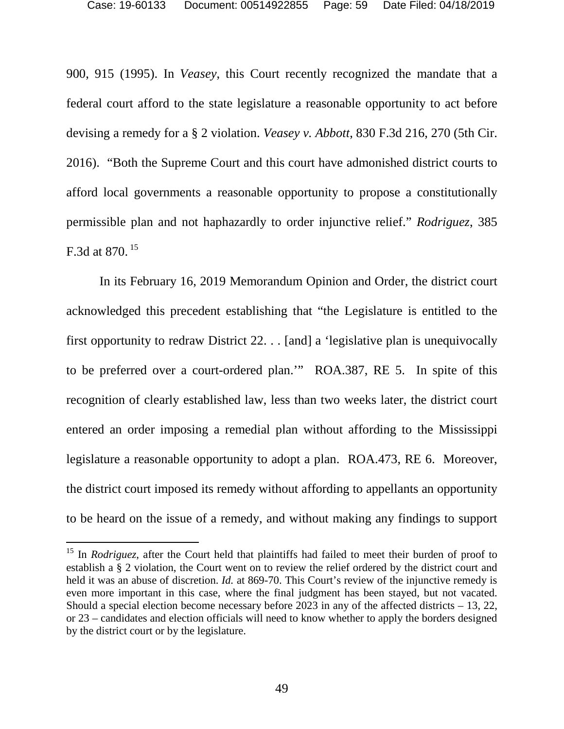900, 915 (1995). In *Veasey*, this Court recently recognized the mandate that a federal court afford to the state legislature a reasonable opportunity to act before devising a remedy for a § 2 violation. *Veasey v. Abbott*, 830 F.3d 216, 270 (5th Cir. 2016). "Both the Supreme Court and this court have admonished district courts to afford local governments a reasonable opportunity to propose a constitutionally permissible plan and not haphazardly to order injunctive relief." *Rodriguez*, 385 F.3d at 870. [15](#page-58-0)

In its February 16, 2019 Memorandum Opinion and Order, the district court acknowledged this precedent establishing that "the Legislature is entitled to the first opportunity to redraw District 22. . . [and] a 'legislative plan is unequivocally to be preferred over a court-ordered plan.'" ROA.387, RE 5. In spite of this recognition of clearly established law, less than two weeks later, the district court entered an order imposing a remedial plan without affording to the Mississippi legislature a reasonable opportunity to adopt a plan. ROA.473, RE 6. Moreover, the district court imposed its remedy without affording to appellants an opportunity to be heard on the issue of a remedy, and without making any findings to support

<span id="page-58-0"></span><sup>&</sup>lt;sup>15</sup> In *Rodriguez*, after the Court held that plaintiffs had failed to meet their burden of proof to establish a § 2 violation, the Court went on to review the relief ordered by the district court and held it was an abuse of discretion. *Id.* at 869-70. This Court's review of the injunctive remedy is even more important in this case, where the final judgment has been stayed, but not vacated. Should a special election become necessary before 2023 in any of the affected districts – 13, 22, or 23 – candidates and election officials will need to know whether to apply the borders designed by the district court or by the legislature.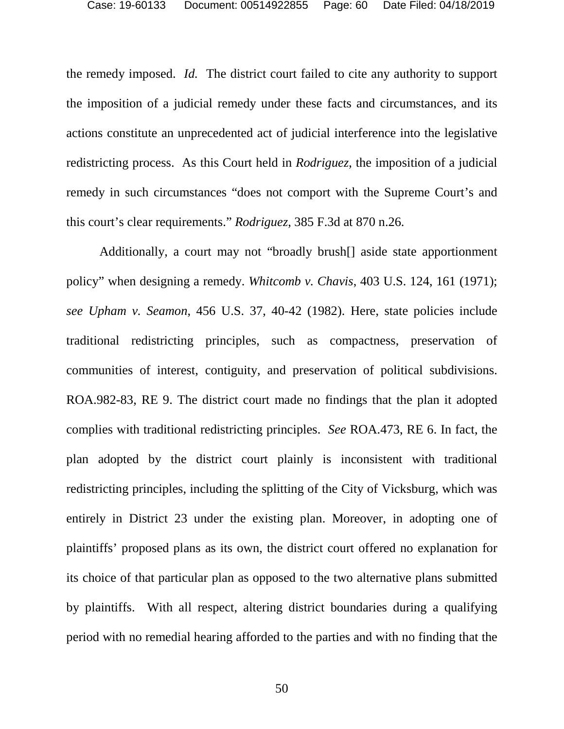the remedy imposed. *Id.* The district court failed to cite any authority to support the imposition of a judicial remedy under these facts and circumstances, and its actions constitute an unprecedented act of judicial interference into the legislative redistricting process. As this Court held in *Rodriguez*, the imposition of a judicial remedy in such circumstances "does not comport with the Supreme Court's and this court's clear requirements." *Rodriguez*, 385 F.3d at 870 n.26.

Additionally, a court may not "broadly brush[] aside state apportionment policy" when designing a remedy. *Whitcomb v. Chavis*, 403 U.S. 124, 161 (1971); *see Upham v. Seamon*, 456 U.S. 37, 40-42 (1982). Here, state policies include traditional redistricting principles, such as compactness, preservation of communities of interest, contiguity, and preservation of political subdivisions. ROA.982-83, RE 9. The district court made no findings that the plan it adopted complies with traditional redistricting principles. *See* ROA.473, RE 6. In fact, the plan adopted by the district court plainly is inconsistent with traditional redistricting principles, including the splitting of the City of Vicksburg, which was entirely in District 23 under the existing plan. Moreover, in adopting one of plaintiffs' proposed plans as its own, the district court offered no explanation for its choice of that particular plan as opposed to the two alternative plans submitted by plaintiffs. With all respect, altering district boundaries during a qualifying period with no remedial hearing afforded to the parties and with no finding that the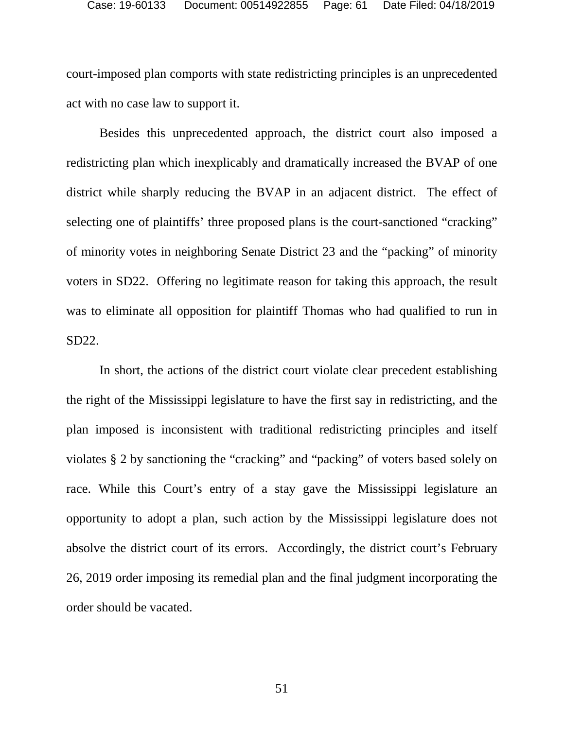court-imposed plan comports with state redistricting principles is an unprecedented act with no case law to support it.

Besides this unprecedented approach, the district court also imposed a redistricting plan which inexplicably and dramatically increased the BVAP of one district while sharply reducing the BVAP in an adjacent district. The effect of selecting one of plaintiffs' three proposed plans is the court-sanctioned "cracking" of minority votes in neighboring Senate District 23 and the "packing" of minority voters in SD22. Offering no legitimate reason for taking this approach, the result was to eliminate all opposition for plaintiff Thomas who had qualified to run in SD22.

In short, the actions of the district court violate clear precedent establishing the right of the Mississippi legislature to have the first say in redistricting, and the plan imposed is inconsistent with traditional redistricting principles and itself violates § 2 by sanctioning the "cracking" and "packing" of voters based solely on race. While this Court's entry of a stay gave the Mississippi legislature an opportunity to adopt a plan, such action by the Mississippi legislature does not absolve the district court of its errors. Accordingly, the district court's February 26, 2019 order imposing its remedial plan and the final judgment incorporating the order should be vacated.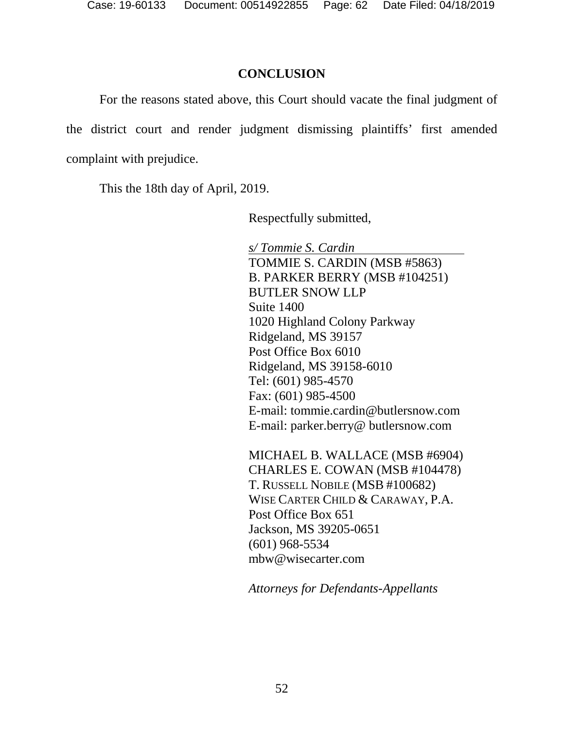### <span id="page-61-0"></span>**CONCLUSION**

For the reasons stated above, this Court should vacate the final judgment of the district court and render judgment dismissing plaintiffs' first amended complaint with prejudice.

This the 18th day of April, 2019.

Respectfully submitted,

*s/ Tommie S. Cardin*  TOMMIE S. CARDIN (MSB #5863) B. PARKER BERRY (MSB #104251) BUTLER SNOW LLP Suite 1400 1020 Highland Colony Parkway Ridgeland, MS 39157 Post Office Box 6010 Ridgeland, MS 39158-6010 Tel: (601) 985-4570 Fax: (601) 985-4500 E-mail: tommie.cardin@butlersnow.com E-mail: parker.berry@ butlersnow.com

MICHAEL B. WALLACE (MSB #6904) CHARLES E. COWAN (MSB #104478) T. RUSSELL NOBILE (MSB #100682) WISE CARTER CHILD & CARAWAY, P.A. Post Office Box 651 Jackson, MS 39205-0651 (601) 968-5534 mbw@wisecarter.com

*Attorneys for Defendants-Appellants*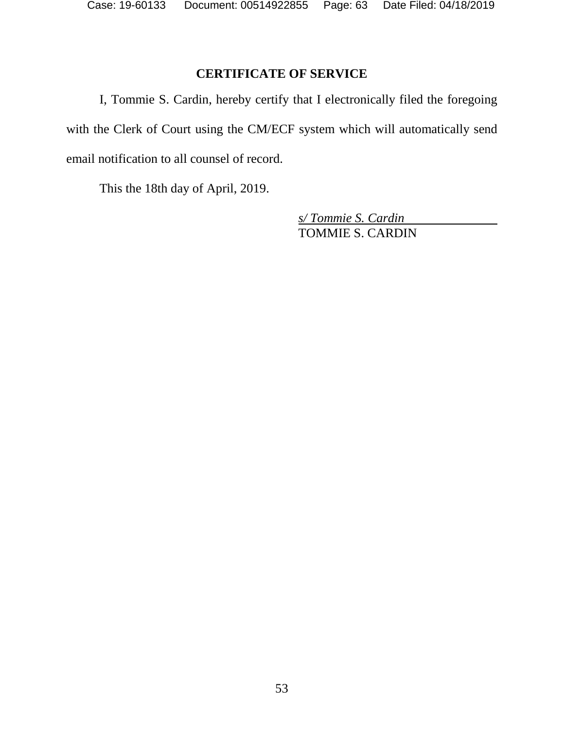# <span id="page-62-0"></span>**CERTIFICATE OF SERVICE**

I, Tommie S. Cardin, hereby certify that I electronically filed the foregoing with the Clerk of Court using the CM/ECF system which will automatically send email notification to all counsel of record.

This the 18th day of April, 2019.

*s/ Tommie S. Cardin*  TOMMIE S. CARDIN